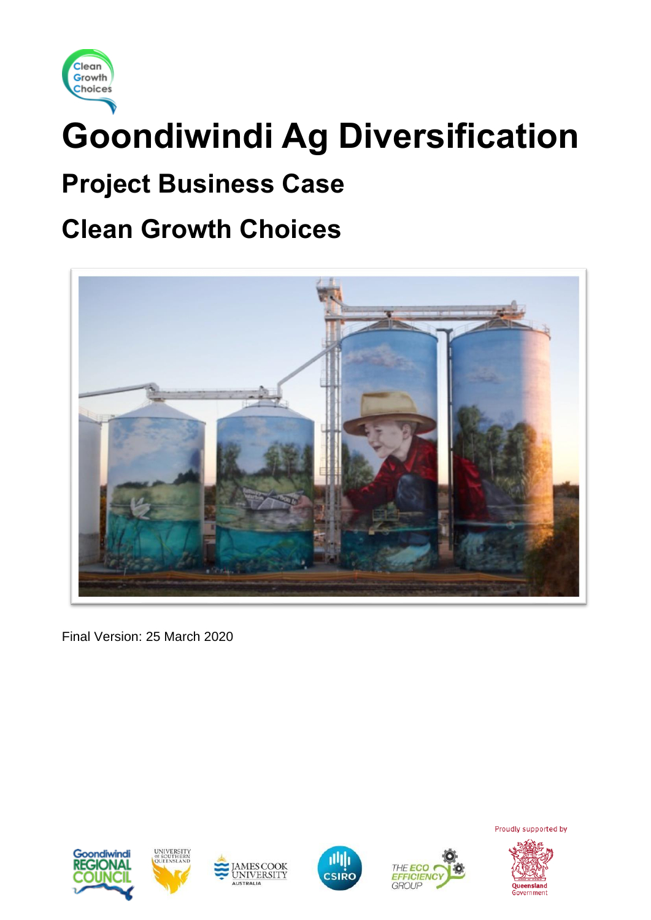

# **Goondiwindi Ag Diversification**

# **Project Business Case**

# **Clean Growth Choices**



Final Version: 25 March 2020











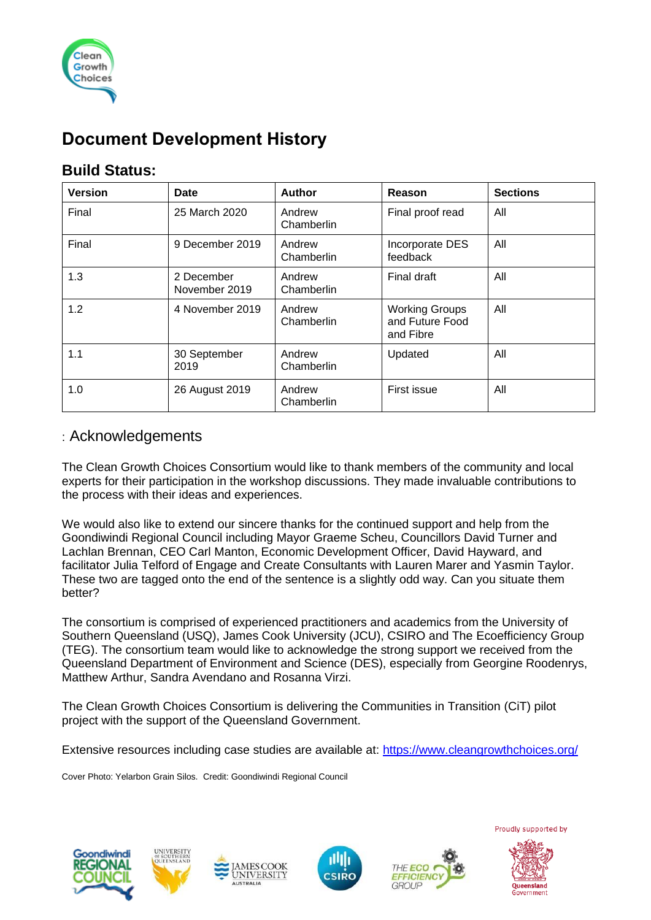

# **Document Development History**

### **Build Status:**

| <b>Version</b> | Date                        | <b>Author</b>        | Reason                                                | <b>Sections</b> |
|----------------|-----------------------------|----------------------|-------------------------------------------------------|-----------------|
| Final          | 25 March 2020               | Andrew<br>Chamberlin | Final proof read                                      | All             |
| Final          | 9 December 2019             | Andrew<br>Chamberlin | Incorporate DES<br>feedback                           | All             |
| 1.3            | 2 December<br>November 2019 | Andrew<br>Chamberlin | Final draft                                           | All             |
| 1.2            | 4 November 2019             | Andrew<br>Chamberlin | <b>Working Groups</b><br>and Future Food<br>and Fibre | All             |
| 1.1            | 30 September<br>2019        | Andrew<br>Chamberlin | Updated                                               | All             |
| 1.0            | 26 August 2019              | Andrew<br>Chamberlin | First issue                                           | All             |

#### : Acknowledgements

The Clean Growth Choices Consortium would like to thank members of the community and local experts for their participation in the workshop discussions. They made invaluable contributions to the process with their ideas and experiences.

We would also like to extend our sincere thanks for the continued support and help from the Goondiwindi Regional Council including Mayor Graeme Scheu, Councillors David Turner and Lachlan Brennan, CEO Carl Manton, Economic Development Officer, David Hayward, and facilitator Julia Telford of Engage and Create Consultants with Lauren Marer and Yasmin Taylor. These two are tagged onto the end of the sentence is a slightly odd way. Can you situate them better?

The consortium is comprised of experienced practitioners and academics from the University of Southern Queensland (USQ), James Cook University (JCU), CSIRO and The Ecoefficiency Group (TEG). The consortium team would like to acknowledge the strong support we received from the Queensland Department of Environment and Science (DES), especially from Georgine Roodenrys, Matthew Arthur, Sandra Avendano and Rosanna Virzi.

The Clean Growth Choices Consortium is delivering the Communities in Transition (CiT) pilot project with the support of the Queensland Government.

Extensive resources including case studies are available at:<https://www.cleangrowthchoices.org/>

Cover Photo: Yelarbon Grain Silos. Credit: Goondiwindi Regional Council







COOK

**UNIVERSITY** 



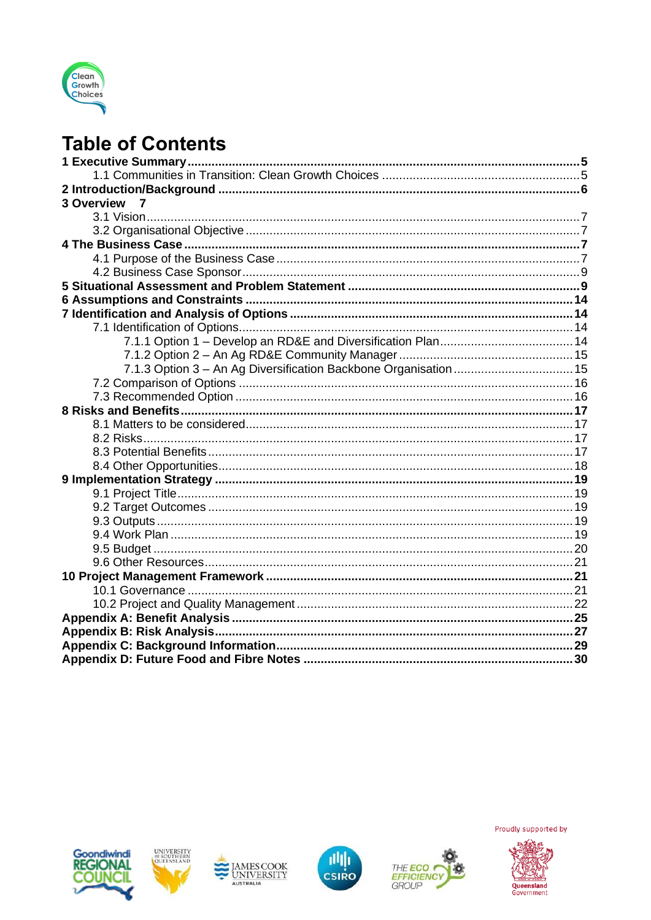

# **Table of Contents**

| <b>3 Overview</b><br>$\overline{7}$ |  |
|-------------------------------------|--|
|                                     |  |
|                                     |  |
|                                     |  |
|                                     |  |
|                                     |  |
|                                     |  |
|                                     |  |
|                                     |  |
|                                     |  |
|                                     |  |
|                                     |  |
|                                     |  |
|                                     |  |
|                                     |  |
|                                     |  |
|                                     |  |
|                                     |  |
|                                     |  |
|                                     |  |
|                                     |  |
|                                     |  |
|                                     |  |
|                                     |  |
|                                     |  |
|                                     |  |
|                                     |  |
|                                     |  |
|                                     |  |
|                                     |  |
|                                     |  |
|                                     |  |
|                                     |  |
|                                     |  |











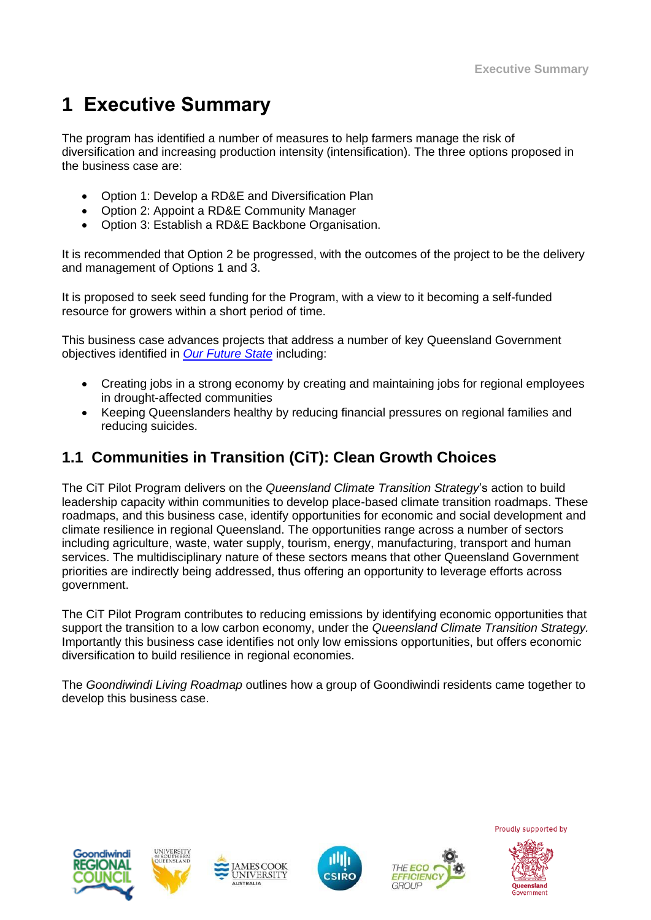# **1 Executive Summary**

The program has identified a number of measures to help farmers manage the risk of diversification and increasing production intensity (intensification). The three options proposed in the business case are:

- Option 1: Develop a RD&E and Diversification Plan
- Option 2: Appoint a RD&E Community Manager
- Option 3: Establish a RD&E Backbone Organisation.

It is recommended that Option 2 be progressed, with the outcomes of the project to be the delivery and management of Options 1 and 3.

It is proposed to seek seed funding for the Program, with a view to it becoming a self-funded resource for growers within a short period of time.

This business case advances projects that address a number of key Queensland Government objectives identified in *[Our Future State](https://www.ourfuture.qld.gov.au/gov-objectives.aspx)* including:

- Creating jobs in a strong economy by creating and maintaining jobs for regional employees in drought-affected communities
- Keeping Queenslanders healthy by reducing financial pressures on regional families and reducing suicides.

### **1.1 Communities in Transition (CiT): Clean Growth Choices**

The CiT Pilot Program delivers on the *Queensland Climate Transition Strategy*'s action to build leadership capacity within communities to develop place-based climate transition roadmaps. These roadmaps, and this business case, identify opportunities for economic and social development and climate resilience in regional Queensland. The opportunities range across a number of sectors including agriculture, waste, water supply, tourism, energy, manufacturing, transport and human services. The multidisciplinary nature of these sectors means that other Queensland Government priorities are indirectly being addressed, thus offering an opportunity to leverage efforts across government.

The CiT Pilot Program contributes to reducing emissions by identifying economic opportunities that support the transition to a low carbon economy, under the *Queensland Climate Transition Strategy.* Importantly this business case identifies not only low emissions opportunities, but offers economic diversification to build resilience in regional economies.

The *Goondiwindi Living Roadmap* outlines how a group of Goondiwindi residents came together to develop this business case.











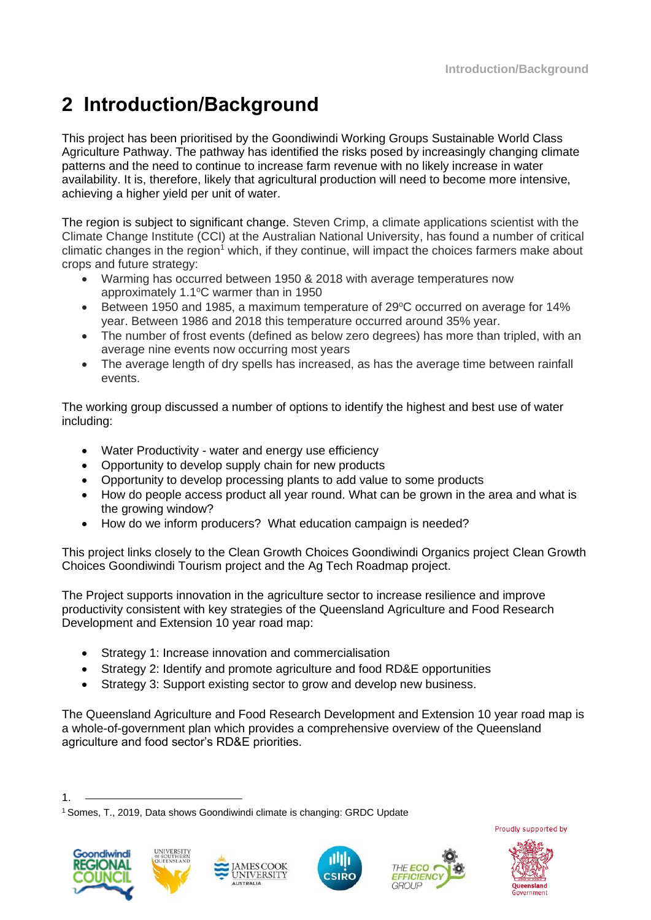# **2 Introduction/Background**

This project has been prioritised by the Goondiwindi Working Groups Sustainable World Class Agriculture Pathway. The pathway has identified the risks posed by increasingly changing climate patterns and the need to continue to increase farm revenue with no likely increase in water availability. It is, therefore, likely that agricultural production will need to become more intensive, achieving a higher yield per unit of water.

The region is subject to significant change. Steven Crimp, a climate applications scientist with the Climate Change Institute (CCI) at the Australian National University, has found a number of critical climatic changes in the region<sup>1</sup> which, if they continue, will impact the choices farmers make about crops and future strategy:

- Warming has occurred between 1950 & 2018 with average temperatures now approximately  $1.1^{\circ}$ C warmer than in 1950
- Between 1950 and 1985, a maximum temperature of  $29^{\circ}$ C occurred on average for 14% year. Between 1986 and 2018 this temperature occurred around 35% year.
- The number of frost events (defined as below zero degrees) has more than tripled, with an average nine events now occurring most years
- The average length of dry spells has increased, as has the average time between rainfall events.

The working group discussed a number of options to identify the highest and best use of water including:

- Water Productivity water and energy use efficiency
- Opportunity to develop supply chain for new products
- Opportunity to develop processing plants to add value to some products
- How do people access product all year round. What can be grown in the area and what is the growing window?
- How do we inform producers? What education campaign is needed?

This project links closely to the Clean Growth Choices Goondiwindi Organics project Clean Growth Choices Goondiwindi Tourism project and the Ag Tech Roadmap project.

The Project supports innovation in the agriculture sector to increase resilience and improve productivity consistent with key strategies of the Queensland Agriculture and Food Research Development and Extension 10 year road map:

- Strategy 1: Increase innovation and commercialisation
- Strategy 2: Identify and promote agriculture and food RD&E opportunities
- Strategy 3: Support existing sector to grow and develop new business.

The Queensland Agriculture and Food Research Development and Extension 10 year road map is a whole-of-government plan which provides a comprehensive overview of the Queensland agriculture and food sector's RD&E priorities.

<sup>1</sup> Somes, T., 2019, Data shows Goondiwindi climate is changing: GRDC Update













<sup>1.</sup>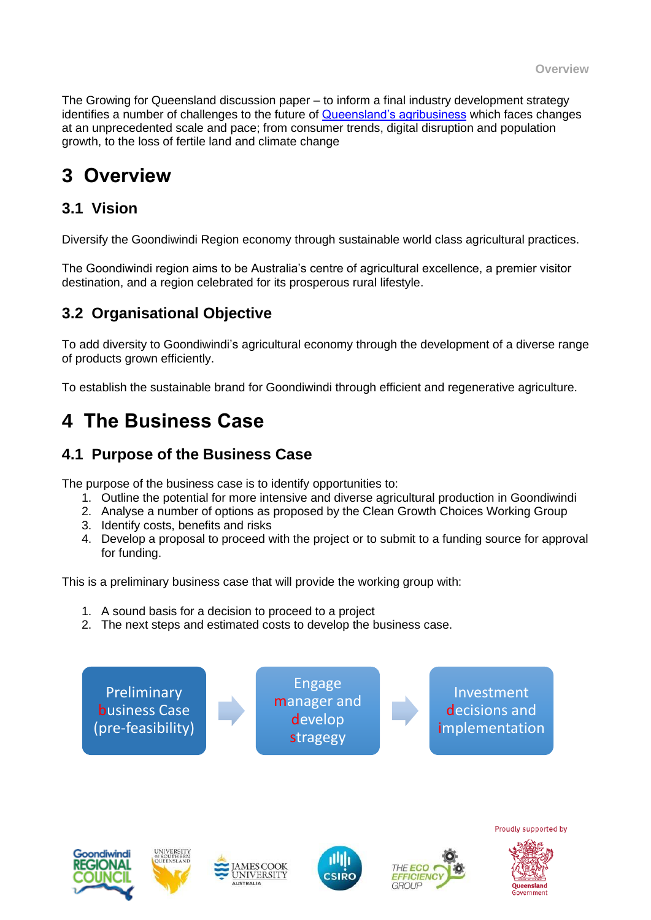The Growing for Queensland discussion paper – to inform a final industry development strategy identifies a number of challenges to the future of [Queensland's agribusiness](https://daf.engagementhub.com.au/growing-for-queensland) which faces changes at an unprecedented scale and pace; from consumer trends, digital disruption and population growth, to the loss of fertile land and climate change

# **3 Overview**

### **3.1 Vision**

Diversify the Goondiwindi Region economy through sustainable world class agricultural practices.

The Goondiwindi region aims to be Australia's centre of agricultural excellence, a premier visitor destination, and a region celebrated for its prosperous rural lifestyle.

### **3.2 Organisational Objective**

To add diversity to Goondiwindi's agricultural economy through the development of a diverse range of products grown efficiently.

To establish the sustainable brand for Goondiwindi through efficient and regenerative agriculture.

# **4 The Business Case**

### **4.1 Purpose of the Business Case**

The purpose of the business case is to identify opportunities to:

- 1. Outline the potential for more intensive and diverse agricultural production in Goondiwindi
- 2. Analyse a number of options as proposed by the Clean Growth Choices Working Group
- 3. Identify costs, benefits and risks
- 4. Develop a proposal to proceed with the project or to submit to a funding source for approval for funding.

This is a preliminary business case that will provide the working group with:

- 1. A sound basis for a decision to proceed to a project
- 2. The next steps and estimated costs to develop the business case.

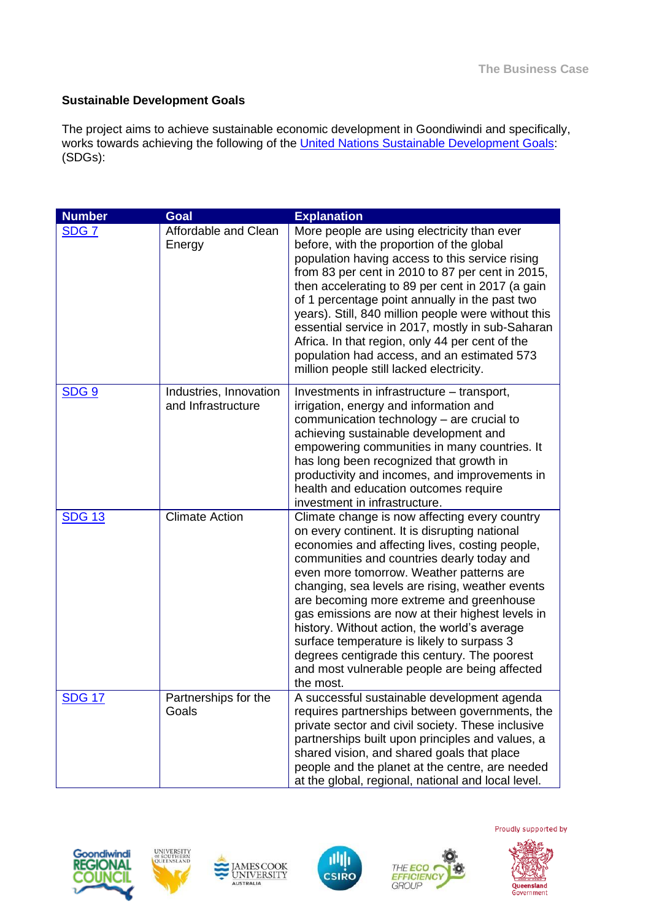#### **Sustainable Development Goals**

The project aims to achieve sustainable economic development in Goondiwindi and specifically, works towards achieving the following of the [United Nations Sustainable Development Goals:](https://sustainabledevelopment.un.org/) (SDGs):

| <b>Number</b>    | <b>Goal</b>                                  | <b>Explanation</b>                                                                                                                                                                                                                                                                                                                                                                                                                                                                                                                                                                                        |
|------------------|----------------------------------------------|-----------------------------------------------------------------------------------------------------------------------------------------------------------------------------------------------------------------------------------------------------------------------------------------------------------------------------------------------------------------------------------------------------------------------------------------------------------------------------------------------------------------------------------------------------------------------------------------------------------|
| SDG <sub>7</sub> | Affordable and Clean<br>Energy               | More people are using electricity than ever<br>before, with the proportion of the global<br>population having access to this service rising<br>from 83 per cent in 2010 to 87 per cent in 2015,<br>then accelerating to 89 per cent in 2017 (a gain<br>of 1 percentage point annually in the past two<br>years). Still, 840 million people were without this<br>essential service in 2017, mostly in sub-Saharan<br>Africa. In that region, only 44 per cent of the<br>population had access, and an estimated 573<br>million people still lacked electricity.                                            |
| SDG <sub>9</sub> | Industries, Innovation<br>and Infrastructure | Investments in infrastructure – transport,<br>irrigation, energy and information and<br>communication technology - are crucial to<br>achieving sustainable development and<br>empowering communities in many countries. It<br>has long been recognized that growth in<br>productivity and incomes, and improvements in<br>health and education outcomes require<br>investment in infrastructure.                                                                                                                                                                                                          |
| <b>SDG 13</b>    | <b>Climate Action</b>                        | Climate change is now affecting every country<br>on every continent. It is disrupting national<br>economies and affecting lives, costing people,<br>communities and countries dearly today and<br>even more tomorrow. Weather patterns are<br>changing, sea levels are rising, weather events<br>are becoming more extreme and greenhouse<br>gas emissions are now at their highest levels in<br>history. Without action, the world's average<br>surface temperature is likely to surpass 3<br>degrees centigrade this century. The poorest<br>and most vulnerable people are being affected<br>the most. |
| <b>SDG 17</b>    | Partnerships for the<br>Goals                | A successful sustainable development agenda<br>requires partnerships between governments, the<br>private sector and civil society. These inclusive<br>partnerships built upon principles and values, a<br>shared vision, and shared goals that place<br>people and the planet at the centre, are needed<br>at the global, regional, national and local level.                                                                                                                                                                                                                                             |











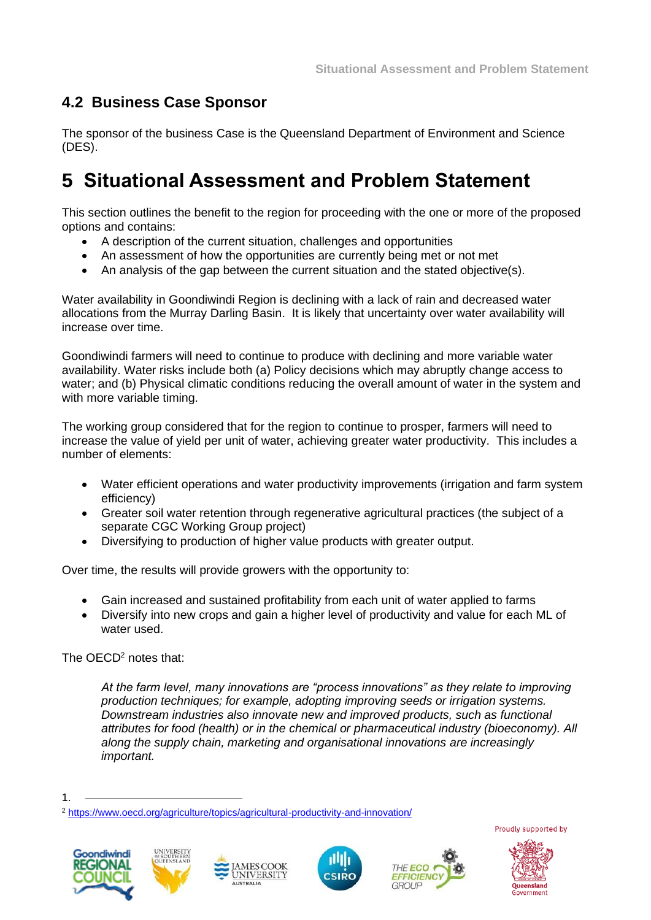# **4.2 Business Case Sponsor**

The sponsor of the business Case is the Queensland Department of Environment and Science (DES).

# **5 Situational Assessment and Problem Statement**

This section outlines the benefit to the region for proceeding with the one or more of the proposed options and contains:

- A description of the current situation, challenges and opportunities
- An assessment of how the opportunities are currently being met or not met
- An analysis of the gap between the current situation and the stated objective(s).

Water availability in Goondiwindi Region is declining with a lack of rain and decreased water allocations from the Murray Darling Basin. It is likely that uncertainty over water availability will increase over time.

Goondiwindi farmers will need to continue to produce with declining and more variable water availability. Water risks include both (a) Policy decisions which may abruptly change access to water; and (b) Physical climatic conditions reducing the overall amount of water in the system and with more variable timing.

The working group considered that for the region to continue to prosper, farmers will need to increase the value of yield per unit of water, achieving greater water productivity. This includes a number of elements:

- Water efficient operations and water productivity improvements (irrigation and farm system efficiency)
- Greater soil water retention through regenerative agricultural practices (the subject of a separate CGC Working Group project)
- Diversifying to production of higher value products with greater output.

Over time, the results will provide growers with the opportunity to:

- Gain increased and sustained profitability from each unit of water applied to farms
- Diversify into new crops and gain a higher level of productivity and value for each ML of water used.

The OECD<sup>2</sup> notes that:

*At the farm level, many innovations are "process innovations" as they relate to improving production techniques; for example, adopting improving seeds or irrigation systems. Downstream industries also innovate new and improved products, such as functional attributes for food (health) or in the chemical or pharmaceutical industry (bioeconomy). All along the supply chain, marketing and organisational innovations are increasingly important.*

<sup>2</sup> <https://www.oecd.org/agriculture/topics/agricultural-productivity-and-innovation/>













<sup>1.</sup>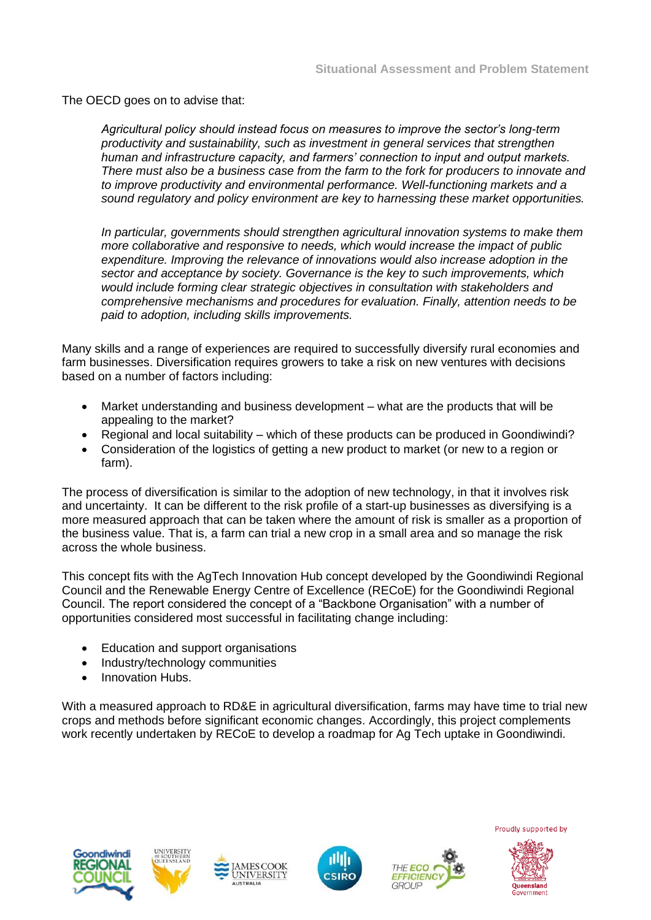The OECD goes on to advise that:

*Agricultural policy should instead focus on measures to improve the sector's long-term productivity and sustainability, such as investment in general services that strengthen human and infrastructure capacity, and farmers' connection to input and output markets. There must also be a business case from the farm to the fork for producers to innovate and to improve productivity and environmental performance. Well-functioning markets and a sound regulatory and policy environment are key to harnessing these market opportunities.*

*In particular, governments should strengthen agricultural innovation systems to make them more collaborative and responsive to needs, which would increase the impact of public expenditure. Improving the relevance of innovations would also increase adoption in the sector and acceptance by society. Governance is the key to such improvements, which would include forming clear strategic objectives in consultation with stakeholders and comprehensive mechanisms and procedures for evaluation. Finally, attention needs to be paid to adoption, including skills improvements.*

Many skills and a range of experiences are required to successfully diversify rural economies and farm businesses. Diversification requires growers to take a risk on new ventures with decisions based on a number of factors including:

- Market understanding and business development what are the products that will be appealing to the market?
- Regional and local suitability which of these products can be produced in Goondiwindi?
- Consideration of the logistics of getting a new product to market (or new to a region or farm).

The process of diversification is similar to the adoption of new technology, in that it involves risk and uncertainty. It can be different to the risk profile of a start-up businesses as diversifying is a more measured approach that can be taken where the amount of risk is smaller as a proportion of the business value. That is, a farm can trial a new crop in a small area and so manage the risk across the whole business.

This concept fits with the AgTech Innovation Hub concept developed by the Goondiwindi Regional Council and the Renewable Energy Centre of Excellence (RECoE) for the Goondiwindi Regional Council. The report considered the concept of a "Backbone Organisation" with a number of opportunities considered most successful in facilitating change including:

- Education and support organisations
- Industry/technology communities
- Innovation Hubs.

With a measured approach to RD&E in agricultural diversification, farms may have time to trial new crops and methods before significant economic changes. Accordingly, this project complements work recently undertaken by RECoE to develop a roadmap for Ag Tech uptake in Goondiwindi.











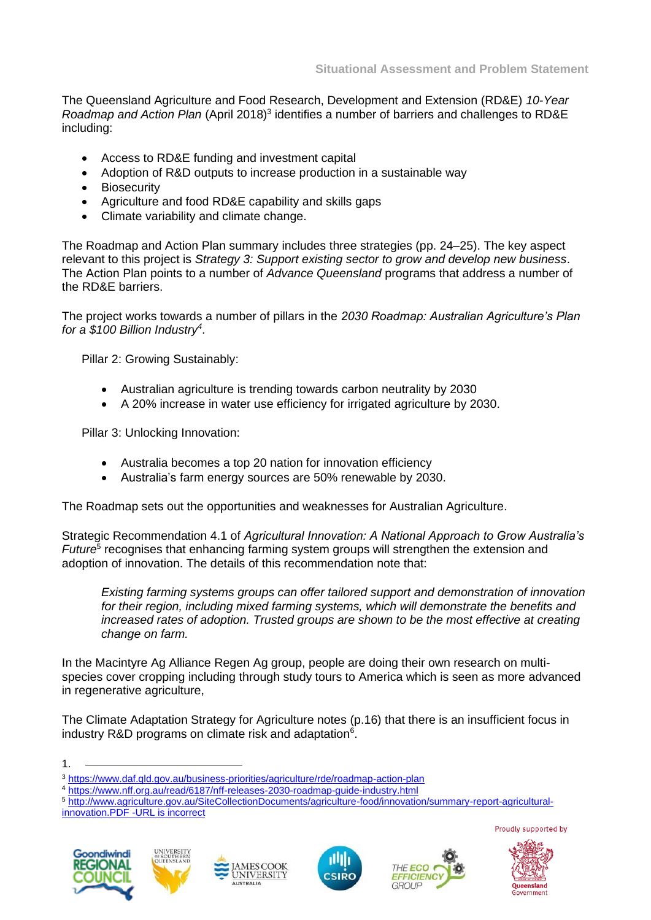The Queensland Agriculture and Food Research, Development and Extension (RD&E) *10-Year*  Roadmap and Action Plan (April 2018)<sup>3</sup> identifies a number of barriers and challenges to RD&E including:

- Access to RD&E funding and investment capital
- Adoption of R&D outputs to increase production in a sustainable way
- Biosecurity
- Agriculture and food RD&E capability and skills gaps
- Climate variability and climate change.

The Roadmap and Action Plan summary includes three strategies (pp. 24–25). The key aspect relevant to this project is *Strategy 3: Support existing sector to grow and develop new business*. The Action Plan points to a number of *Advance Queensland* programs that address a number of the RD&E barriers.

The project works towards a number of pillars in the *2030 Roadmap: Australian Agriculture's Plan for a \$100 Billion Industry<sup>4</sup>* .

Pillar 2: Growing Sustainably:

- Australian agriculture is trending towards carbon neutrality by 2030
- A 20% increase in water use efficiency for irrigated agriculture by 2030.

Pillar 3: Unlocking Innovation:

- Australia becomes a top 20 nation for innovation efficiency
- Australia's farm energy sources are 50% renewable by 2030.

The Roadmap sets out the opportunities and weaknesses for Australian Agriculture.

Strategic Recommendation 4.1 of *Agricultural Innovation: A National Approach to Grow Australia's*  Future<sup>5</sup> recognises that enhancing farming system groups will strengthen the extension and adoption of innovation. The details of this recommendation note that:

*Existing farming systems groups can offer tailored support and demonstration of innovation for their region, including mixed farming systems, which will demonstrate the benefits and increased rates of adoption. Trusted groups are shown to be the most effective at creating change on farm.*

In the Macintyre Ag Alliance Regen Ag group, people are doing their own research on multispecies cover cropping including through study tours to America which is seen as more advanced in regenerative agriculture,

The Climate Adaptation Strategy for Agriculture notes (p.16) that there is an insufficient focus in industry R&D programs on climate risk and adaptation<sup>6</sup>.

<sup>5</sup> [http://www.agriculture.gov.au/SiteCollectionDocuments/agriculture-food/innovation/summary-report-agricultural](http://www.agriculture.gov.au/SiteCollectionDocuments/agriculture-food/innovation/summary-report-agricultural-innovation.PDF)[innovation.PDF](http://www.agriculture.gov.au/SiteCollectionDocuments/agriculture-food/innovation/summary-report-agricultural-innovation.PDF) -URL is incorrect















<sup>1.</sup>

<sup>3</sup> <https://www.daf.qld.gov.au/business-priorities/agriculture/rde/roadmap-action-plan>

<sup>4</sup> <https://www.nff.org.au/read/6187/nff-releases-2030-roadmap-guide-industry.html>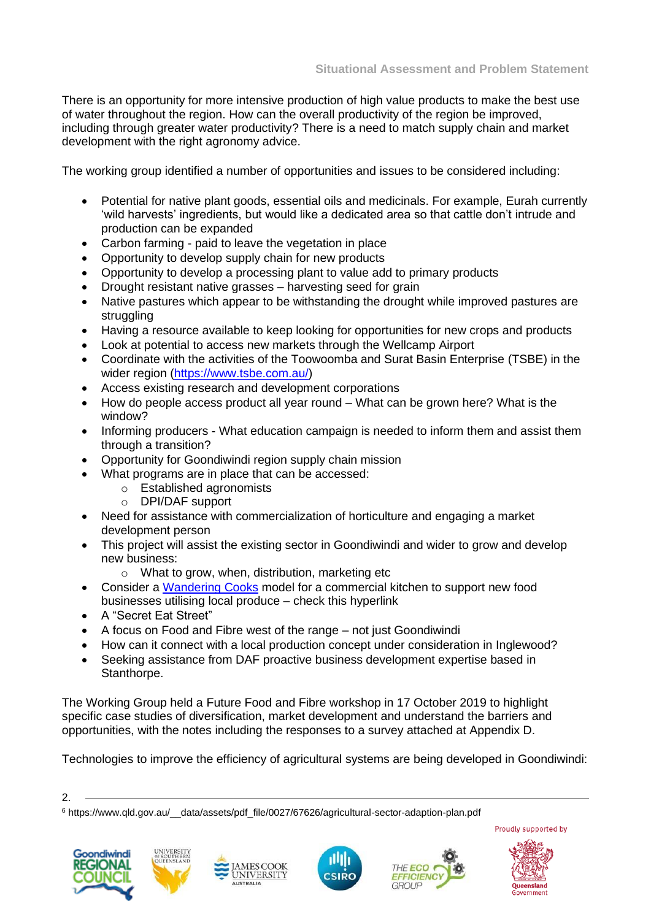There is an opportunity for more intensive production of high value products to make the best use of water throughout the region. How can the overall productivity of the region be improved, including through greater water productivity? There is a need to match supply chain and market development with the right agronomy advice.

The working group identified a number of opportunities and issues to be considered including:

- Potential for native plant goods, essential oils and medicinals. For example, Eurah currently 'wild harvests' ingredients, but would like a dedicated area so that cattle don't intrude and production can be expanded
- Carbon farming paid to leave the vegetation in place
- Opportunity to develop supply chain for new products
- Opportunity to develop a processing plant to value add to primary products
- Drought resistant native grasses harvesting seed for grain
- Native pastures which appear to be withstanding the drought while improved pastures are struggling
- Having a resource available to keep looking for opportunities for new crops and products
- Look at potential to access new markets through the Wellcamp Airport
- Coordinate with the activities of the Toowoomba and Surat Basin Enterprise (TSBE) in the wider region [\(https://www.tsbe.com.au/\)](https://www.tsbe.com.au/)
- Access existing research and development corporations
- How do people access product all year round What can be grown here? What is the window?
- Informing producers What education campaign is needed to inform them and assist them through a transition?
- Opportunity for Goondiwindi region supply chain mission
- What programs are in place that can be accessed:
	- o Established agronomists
	- o DPI/DAF support
- Need for assistance with commercialization of horticulture and engaging a market development person
- This project will assist the existing sector in Goondiwindi and wider to grow and develop new business:
	- o What to grow, when, distribution, marketing etc
- Consider a [Wandering Cooks](https://wanderingcooks.com.au/) model for a commercial kitchen to support new food businesses utilising local produce – check this hyperlink
- A "Secret Eat Street"
- A focus on Food and Fibre west of the range not just Goondiwindi
- How can it connect with a local production concept under consideration in Inglewood?
- Seeking assistance from DAF proactive business development expertise based in Stanthorpe.

The Working Group held a Future Food and Fibre workshop in 17 October 2019 to highlight specific case studies of diversification, market development and understand the barriers and opportunities, with the notes including the responses to a survey attached at Appendix D.

Technologies to improve the efficiency of agricultural systems are being developed in Goondiwindi:

2.

<sup>6</sup> https://www.qld.gov.au/\_\_data/assets/pdf\_file/0027/67626/agricultural-sector-adaption-plan.pdf













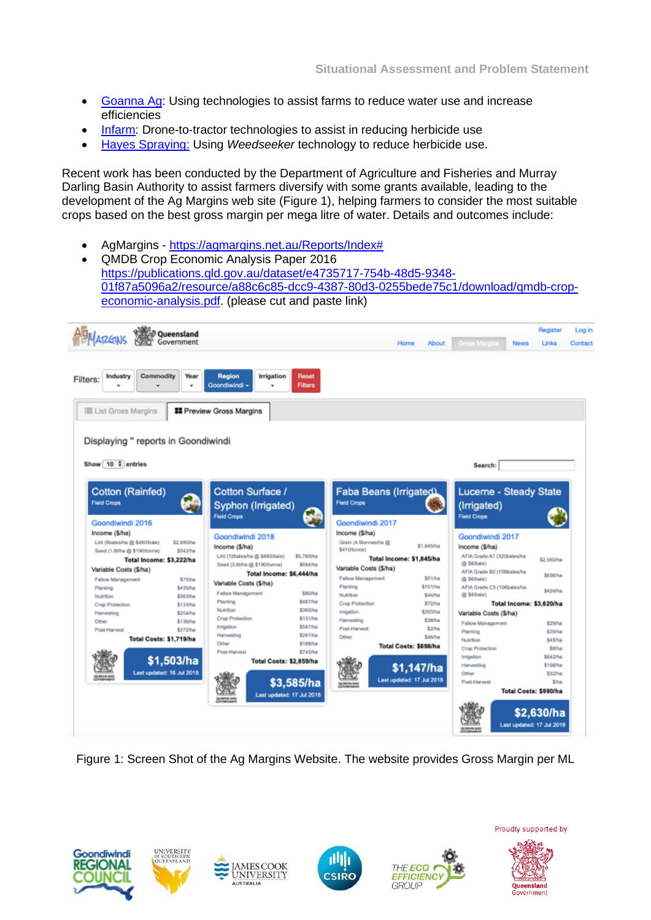- [Goanna Ag:](https://www.goannaag.com.au/) Using technologies to assist farms to reduce water use and increase efficiencies
- [Infarm:](https://www.infarm.io/) Drone-to-tractor technologies to assist in reducing herbicide use
- [Hayes Spraying:](https://www.hayesspraying.com.au/weedseeker.htm) Using *Weedseeker* technology to reduce herbicide use.

Recent work has been conducted by the Department of Agriculture and Fisheries and Murray Darling Basin Authority to assist farmers diversify with some grants available, leading to the development of the Ag Margins web site (Figure 1), helping farmers to consider the most suitable crops based on the best gross margin per mega litre of water. Details and outcomes include:

- AgMargins [https://agmargins.net.au/Reports/Index#](https://agmargins.net.au/Reports/Index)
- QMDB Crop Economic Analysis Paper 2016 [https://publications.qld.gov.au/dataset/e4735717-754b-48d5-9348-](https://publications.qld.gov.au/dataset/e4735717-754b-48d5-9348-01f87a5096a2/resource/a88c6c85-dcc9-4387-80d3-0255bede75c1/download/qmdb-crop-economic-analysis.pdf) [01f87a5096a2/resource/a88c6c85-dcc9-4387-80d3-0255bede75c1/download/qmdb-crop](https://publications.qld.gov.au/dataset/e4735717-754b-48d5-9348-01f87a5096a2/resource/a88c6c85-dcc9-4387-80d3-0255bede75c1/download/qmdb-crop-economic-analysis.pdf)[economic-analysis.pdf.](https://publications.qld.gov.au/dataset/e4735717-754b-48d5-9348-01f87a5096a2/resource/a88c6c85-dcc9-4387-80d3-0255bede75c1/download/qmdb-crop-economic-analysis.pdf) (please cut and paste link)

| <b>MARGUIS</b>                                                                 | ිම් Queensland<br>Government |                                                                      |                                | Home                                                                                | <b>About</b>        | Gross Marcins<br><b>News</b>                                     | <b>Register</b><br>Links                | Log in<br>Contact |
|--------------------------------------------------------------------------------|------------------------------|----------------------------------------------------------------------|--------------------------------|-------------------------------------------------------------------------------------|---------------------|------------------------------------------------------------------|-----------------------------------------|-------------------|
| Commodity<br>Industry<br>Filters:                                              | Year                         | Region<br>Irrigation<br>Goondiwindi -                                | <b>Reset</b><br><b>Filters</b> |                                                                                     |                     |                                                                  |                                         |                   |
| III List Gross Margins                                                         |                              | <b>II</b> Preview Gross Margins                                      |                                |                                                                                     |                     |                                                                  |                                         |                   |
| Displaying " reports in Goondiwindi                                            |                              |                                                                      |                                |                                                                                     |                     |                                                                  |                                         |                   |
| Show $10 \div$ entries                                                         |                              |                                                                      |                                |                                                                                     |                     | Search:                                                          |                                         |                   |
| <b>Cotton (Rainfed)</b><br><b>Field Crops</b>                                  |                              | Cotton Surface /<br>Syphon (Irrigated)<br><b>Field Crops</b>         |                                | Faba Beans (Irrigated)<br><b>Field Crops</b>                                        |                     | Lucerne - Steady State<br>(Irrigated)<br><b>Field Crops</b>      |                                         |                   |
| Goondiwindi 2016                                                               |                              |                                                                      |                                | Goondiwindi 2017                                                                    |                     |                                                                  |                                         |                   |
| Income (\$/ha)<br>Lint (Sbales/ha @ \$480/bale)<br>Seed (1.8tha @ \$190/tonne) | \$2,880/ha<br>\$342/ha       | Goondiwindi 2018<br>Income (\$/ha)<br>Lint (12bales/ha @ \$480/bale) | \$5,760/ha                     | Income (\$/ha)<br>Grain (4.5tonnes/ha @<br>\$410/tonne)<br>Total Income: \$1,845/ha | \$1,845/ha          | Goondiwindi 2017<br>Income (\$/ha)<br>AFIA Grade A1 (320bales/ha | \$2,560/ha                              |                   |
| Total Income: \$3,222/ha<br>Variable Costs (\$/ha)                             |                              | Seed (3.6tha @ \$190/tonne)                                          | \$684/ha                       | Variable Costs (\$/ha)                                                              |                     | @ \$8/bale)<br>AFIA Grade B2 (106bales/ha                        |                                         |                   |
| Fallow Management                                                              | \$75/ha                      |                                                                      | Total Income: \$6,444/ha       | Fallow Management                                                                   | \$51/ha             | @ \$6/bale)                                                      | \$636/ha                                |                   |
| Planting<br>Nutrition                                                          | \$435/ha<br>\$363/ha         | Variable Costs (\$/ha)<br>Fallow Management                          | \$80/ha                        | Planting<br>Nutrition                                                               | \$151/ha<br>\$44/ha | AFIA Grade C3 (106bales/ha<br>@ \$4/bale)                        | \$424/ha                                |                   |
| Crop Protection                                                                | \$133/ha                     | Planting<br>Nutrition                                                | \$487/ha<br>\$360/ha           | Crop Protection                                                                     | \$72/ha             | Total Income: \$3,620/ha                                         |                                         |                   |
| Harvesting                                                                     | \$204/ha                     | Crop Protection                                                      | \$131/hp                       | Irrigation<br>Harvesting                                                            | \$293/ha<br>\$38/ha | Variable Costs (\$/ha)                                           |                                         |                   |
| Other<br>Post-Harvest                                                          | \$136/ha<br>\$372/ha         | Irrigation                                                           | \$587/ha                       | Post-Harvest                                                                        | \$2/ha              | Fallow Management                                                | \$29/ha                                 |                   |
|                                                                                | Total Costs: \$1,719/ha      | Harvesting                                                           | \$281/ha                       | Other                                                                               | \$46/ha             | Planting<br>Nutrition                                            | \$35/ha<br>\$45/ha                      |                   |
|                                                                                |                              | Other                                                                | \$188/ha                       | Total Costs: \$698/ha                                                               |                     | Crop Protection                                                  | <b>Sil/ha</b>                           |                   |
|                                                                                |                              | Post-Harvest                                                         | \$745/ha                       |                                                                                     |                     | Irrigation                                                       | \$642/hø                                |                   |
|                                                                                | \$1,503/ha                   |                                                                      | Total Costs: \$2,859/ha        |                                                                                     | \$1,147/ha          | Harvesting                                                       | \$198/ha                                |                   |
|                                                                                | Last updated: 16 Jul 2018    |                                                                      |                                |                                                                                     |                     | Other                                                            | \$32/ha                                 |                   |
|                                                                                |                              |                                                                      | \$3,585/ha                     | Last updated: 17 Jul 2018                                                           |                     | Post-Harvest                                                     | \$/ha                                   |                   |
|                                                                                |                              |                                                                      | Last updated: 17 Jul 2018      |                                                                                     |                     |                                                                  | Total Costs: \$990/ha                   |                   |
|                                                                                |                              |                                                                      |                                |                                                                                     |                     |                                                                  | \$2,630/ha<br>Last updated: 17 Jul 2018 |                   |

Figure 1: Screen Shot of the Ag Margins Website. The website provides Gross Margin per ML







**MESCOOK** 

**UNIVERSITY** 



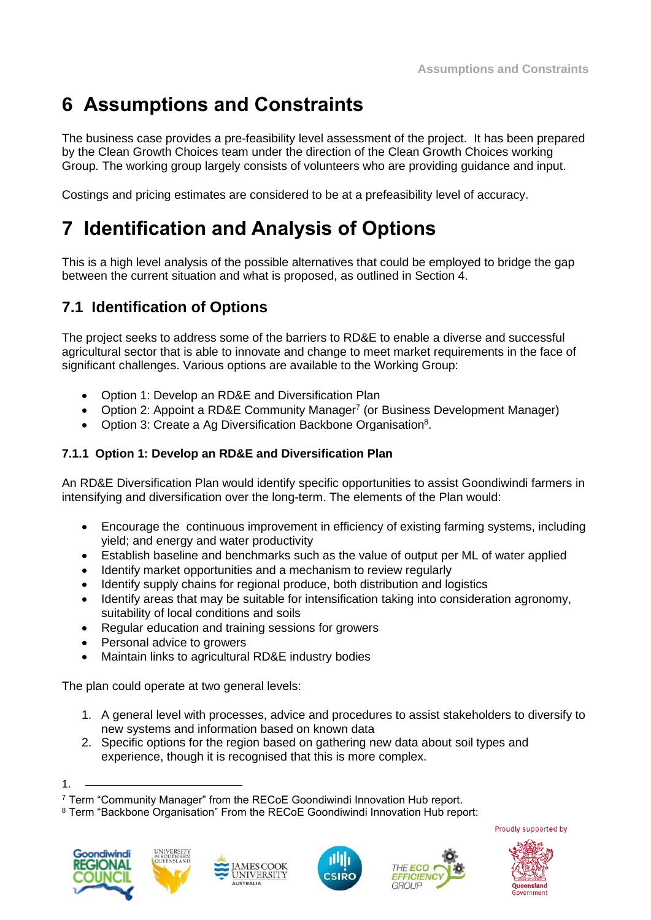# **6 Assumptions and Constraints**

The business case provides a pre-feasibility level assessment of the project. It has been prepared by the Clean Growth Choices team under the direction of the Clean Growth Choices working Group. The working group largely consists of volunteers who are providing guidance and input.

Costings and pricing estimates are considered to be at a prefeasibility level of accuracy.

# **7 Identification and Analysis of Options**

This is a high level analysis of the possible alternatives that could be employed to bridge the gap between the current situation and what is proposed, as outlined in Section 4.

## **7.1 Identification of Options**

The project seeks to address some of the barriers to RD&E to enable a diverse and successful agricultural sector that is able to innovate and change to meet market requirements in the face of significant challenges. Various options are available to the Working Group:

- Option 1: Develop an RD&E and Diversification Plan
- Option 2: Appoint a RD&E Community Manager<sup>7</sup> (or Business Development Manager)
- Option 3: Create a Ag Diversification Backbone Organisation<sup>8</sup>.

#### **7.1.1 Option 1: Develop an RD&E and Diversification Plan**

An RD&E Diversification Plan would identify specific opportunities to assist Goondiwindi farmers in intensifying and diversification over the long-term. The elements of the Plan would:

- Encourage the continuous improvement in efficiency of existing farming systems, including yield; and energy and water productivity
- Establish baseline and benchmarks such as the value of output per ML of water applied
- Identify market opportunities and a mechanism to review regularly
- Identify supply chains for regional produce, both distribution and logistics
- Identify areas that may be suitable for intensification taking into consideration agronomy, suitability of local conditions and soils
- Regular education and training sessions for growers
- Personal advice to growers
- Maintain links to agricultural RD&E industry bodies

The plan could operate at two general levels:

- 1. A general level with processes, advice and procedures to assist stakeholders to diversify to new systems and information based on known data
- 2. Specific options for the region based on gathering new data about soil types and experience, though it is recognised that this is more complex.

<sup>8</sup> Term "Backbone Organisation" From the RECoE Goondiwindi Innovation Hub report:













<sup>1.</sup>

<sup>7</sup> Term "Community Manager" from the RECoE Goondiwindi Innovation Hub report.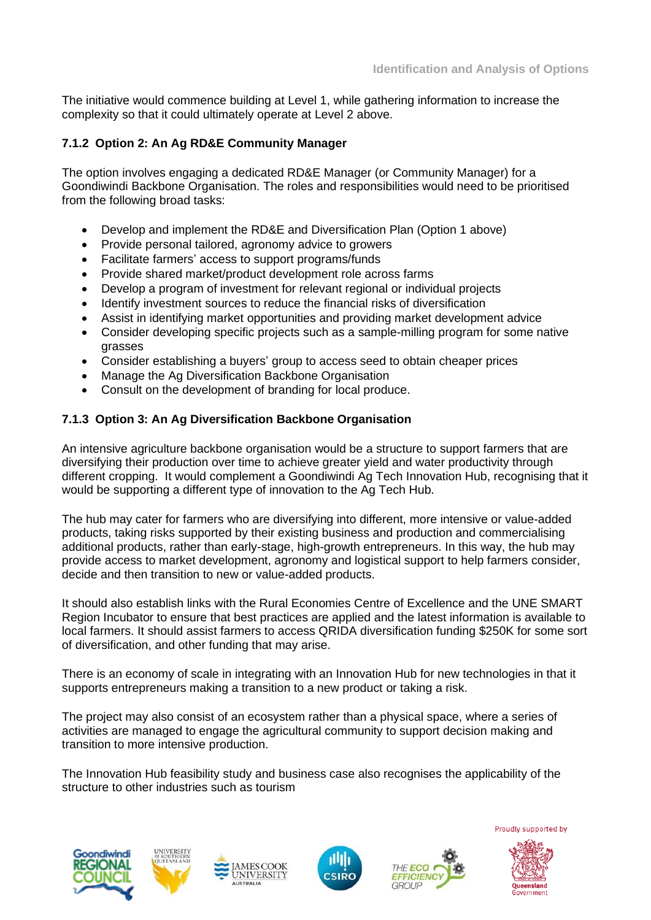The initiative would commence building at Level 1, while gathering information to increase the complexity so that it could ultimately operate at Level 2 above.

#### **7.1.2 Option 2: An Ag RD&E Community Manager**

The option involves engaging a dedicated RD&E Manager (or Community Manager) for a Goondiwindi Backbone Organisation. The roles and responsibilities would need to be prioritised from the following broad tasks:

- Develop and implement the RD&E and Diversification Plan (Option 1 above)
- Provide personal tailored, agronomy advice to growers
- Facilitate farmers' access to support programs/funds
- Provide shared market/product development role across farms
- Develop a program of investment for relevant regional or individual projects
- Identify investment sources to reduce the financial risks of diversification
- Assist in identifying market opportunities and providing market development advice
- Consider developing specific projects such as a sample-milling program for some native grasses
- Consider establishing a buyers' group to access seed to obtain cheaper prices
- Manage the Ag Diversification Backbone Organisation
- Consult on the development of branding for local produce.

#### **7.1.3 Option 3: An Ag Diversification Backbone Organisation**

An intensive agriculture backbone organisation would be a structure to support farmers that are diversifying their production over time to achieve greater yield and water productivity through different cropping. It would complement a Goondiwindi Ag Tech Innovation Hub, recognising that it would be supporting a different type of innovation to the Ag Tech Hub.

The hub may cater for farmers who are diversifying into different, more intensive or value-added products, taking risks supported by their existing business and production and commercialising additional products, rather than early-stage, high-growth entrepreneurs. In this way, the hub may provide access to market development, agronomy and logistical support to help farmers consider, decide and then transition to new or value-added products.

It should also establish links with the Rural Economies Centre of Excellence and the UNE SMART Region Incubator to ensure that best practices are applied and the latest information is available to local farmers. It should assist farmers to access QRIDA diversification funding \$250K for some sort of diversification, and other funding that may arise.

There is an economy of scale in integrating with an Innovation Hub for new technologies in that it supports entrepreneurs making a transition to a new product or taking a risk.

The project may also consist of an ecosystem rather than a physical space, where a series of activities are managed to engage the agricultural community to support decision making and transition to more intensive production.

The Innovation Hub feasibility study and business case also recognises the applicability of the structure to other industries such as tourism







**MESCOOK** 

**UNIVERSITY** 



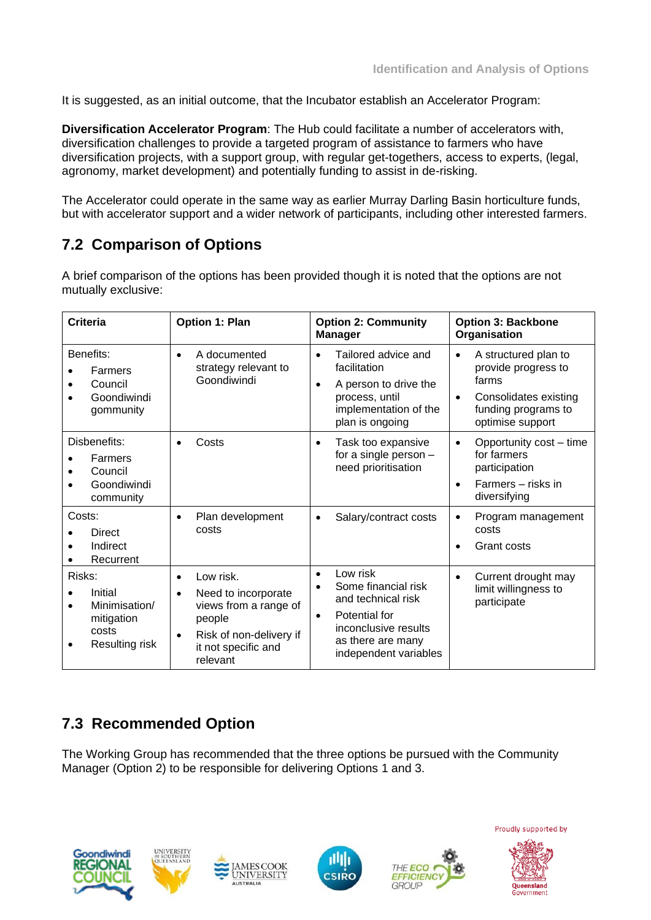It is suggested, as an initial outcome, that the Incubator establish an Accelerator Program:

**Diversification Accelerator Program**: The Hub could facilitate a number of accelerators with, diversification challenges to provide a targeted program of assistance to farmers who have diversification projects, with a support group, with regular get-togethers, access to experts, (legal, agronomy, market development) and potentially funding to assist in de-risking.

The Accelerator could operate in the same way as earlier Murray Darling Basin horticulture funds, but with accelerator support and a wider network of participants, including other interested farmers.

## **7.2 Comparison of Options**

A brief comparison of the options has been provided though it is noted that the options are not mutually exclusive:

| Criteria                                                                    | <b>Option 1: Plan</b>                                                                                                                                                    | <b>Option 2: Community</b><br><b>Manager</b>                                                                                                                                        | <b>Option 3: Backbone</b><br>Organisation                                                                                                          |
|-----------------------------------------------------------------------------|--------------------------------------------------------------------------------------------------------------------------------------------------------------------------|-------------------------------------------------------------------------------------------------------------------------------------------------------------------------------------|----------------------------------------------------------------------------------------------------------------------------------------------------|
| Benefits:<br>Farmers<br>Council<br>Goondiwindi<br>gommunity                 | A documented<br>$\bullet$<br>strategy relevant to<br>Goondiwindi                                                                                                         | Tailored advice and<br>$\bullet$<br>facilitation<br>A person to drive the<br>$\bullet$<br>process, until<br>implementation of the<br>plan is ongoing                                | A structured plan to<br>$\bullet$<br>provide progress to<br>farms<br>Consolidates existing<br>$\bullet$<br>funding programs to<br>optimise support |
| Disbenefits:<br>Farmers<br>Council<br>Goondiwindi<br>community              | Costs<br>$\bullet$                                                                                                                                                       | Task too expansive<br>$\bullet$<br>for a single person -<br>need prioritisation                                                                                                     | Opportunity cost – time<br>$\bullet$<br>for farmers<br>participation<br>Farmers - risks in<br>$\bullet$<br>diversifying                            |
| Costs:<br><b>Direct</b><br>Indirect<br>Recurrent                            | Plan development<br>$\bullet$<br>costs                                                                                                                                   | Salary/contract costs<br>$\bullet$                                                                                                                                                  | Program management<br>$\bullet$<br>costs<br>Grant costs<br>٠                                                                                       |
| Risks:<br>Initial<br>Minimisation/<br>mitigation<br>costs<br>Resulting risk | Low risk.<br>$\bullet$<br>Need to incorporate<br>$\bullet$<br>views from a range of<br>people<br>Risk of non-delivery if<br>$\bullet$<br>it not specific and<br>relevant | Low risk<br>$\bullet$<br>Some financial risk<br>$\bullet$<br>and technical risk<br>Potential for<br>$\bullet$<br>inconclusive results<br>as there are many<br>independent variables | Current drought may<br>$\bullet$<br>limit willingness to<br>participate                                                                            |

## **7.3 Recommended Option**

The Working Group has recommended that the three options be pursued with the Community Manager (Option 2) to be responsible for delivering Options 1 and 3.









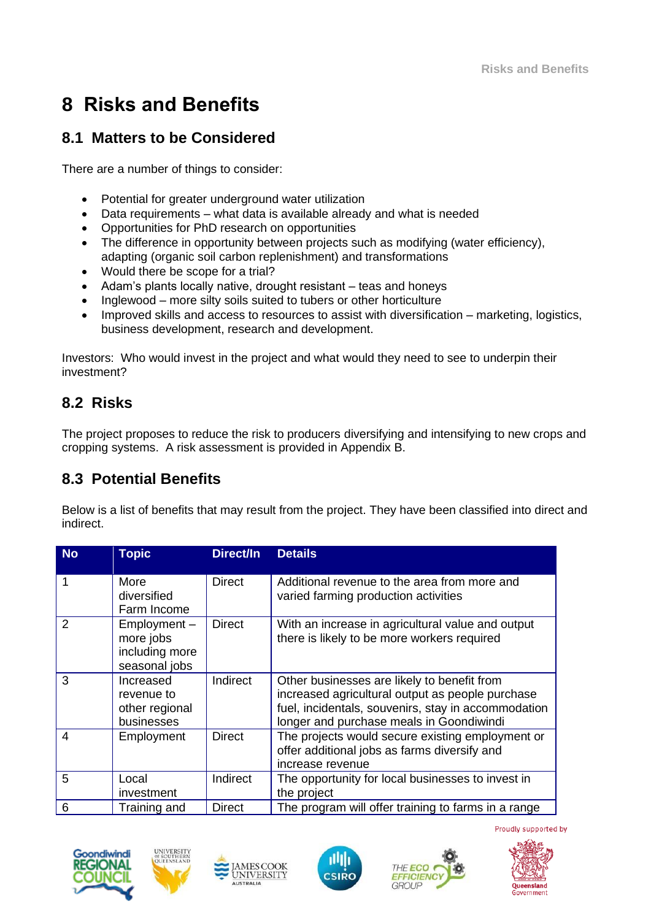# **8 Risks and Benefits**

### **8.1 Matters to be Considered**

There are a number of things to consider:

- Potential for greater underground water utilization
- Data requirements what data is available already and what is needed
- Opportunities for PhD research on opportunities
- The difference in opportunity between projects such as modifying (water efficiency), adapting (organic soil carbon replenishment) and transformations
- Would there be scope for a trial?
- Adam's plants locally native, drought resistant teas and honeys
- Inglewood more silty soils suited to tubers or other horticulture
- Improved skills and access to resources to assist with diversification marketing, logistics, business development, research and development.

Investors: Who would invest in the project and what would they need to see to underpin their investment?

### **8.2 Risks**

The project proposes to reduce the risk to producers diversifying and intensifying to new crops and cropping systems. A risk assessment is provided in Appendix B.

### **8.3 Potential Benefits**

Below is a list of benefits that may result from the project. They have been classified into direct and indirect.

| <b>No</b> | <b>Topic</b>                                                | Direct/In     | <b>Details</b>                                                                                                                                                                                     |
|-----------|-------------------------------------------------------------|---------------|----------------------------------------------------------------------------------------------------------------------------------------------------------------------------------------------------|
| 1         | More<br>diversified<br>Farm Income                          | <b>Direct</b> | Additional revenue to the area from more and<br>varied farming production activities                                                                                                               |
| 2         | Employment-<br>more jobs<br>including more<br>seasonal jobs | <b>Direct</b> | With an increase in agricultural value and output<br>there is likely to be more workers required                                                                                                   |
| 3         | Increased<br>revenue to<br>other regional<br>businesses     | Indirect      | Other businesses are likely to benefit from<br>increased agricultural output as people purchase<br>fuel, incidentals, souvenirs, stay in accommodation<br>longer and purchase meals in Goondiwindi |
| 4         | Employment                                                  | <b>Direct</b> | The projects would secure existing employment or<br>offer additional jobs as farms diversify and<br>increase revenue                                                                               |
| 5         | Local<br>investment                                         | Indirect      | The opportunity for local businesses to invest in<br>the project                                                                                                                                   |
| 6         | Training and                                                | <b>Direct</b> | The program will offer training to farms in a range                                                                                                                                                |







**SCOOK** 

UNIVERSITY



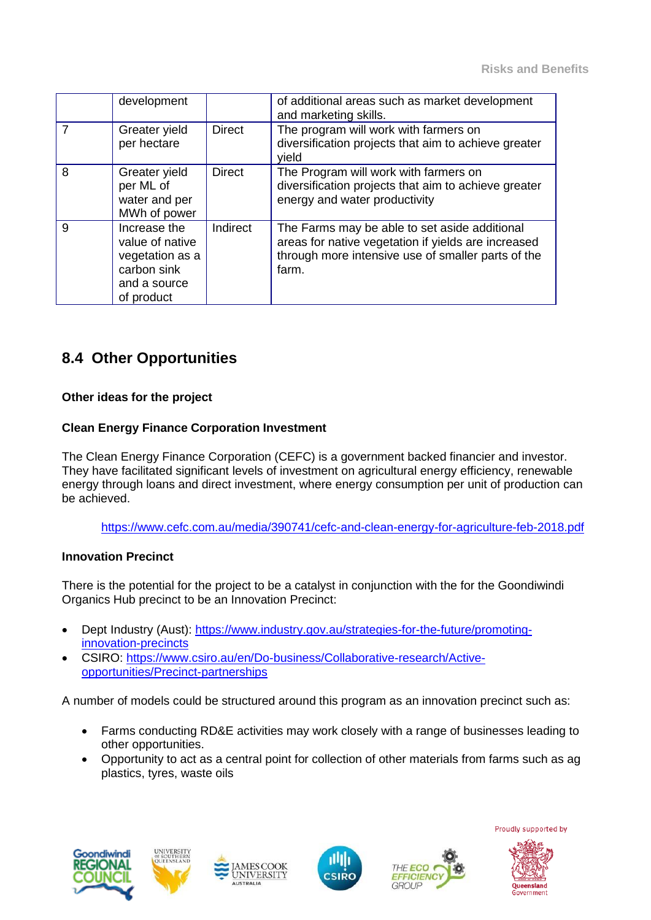|   | development                                                                                     |               | of additional areas such as market development<br>and marketing skills.                                                                                             |
|---|-------------------------------------------------------------------------------------------------|---------------|---------------------------------------------------------------------------------------------------------------------------------------------------------------------|
|   | Greater yield<br>per hectare                                                                    | <b>Direct</b> | The program will work with farmers on<br>diversification projects that aim to achieve greater<br>vield                                                              |
| 8 | Greater yield<br>per ML of<br>water and per<br>MWh of power                                     | <b>Direct</b> | The Program will work with farmers on<br>diversification projects that aim to achieve greater<br>energy and water productivity                                      |
| 9 | Increase the<br>value of native<br>vegetation as a<br>carbon sink<br>and a source<br>of product | Indirect      | The Farms may be able to set aside additional<br>areas for native vegetation if yields are increased<br>through more intensive use of smaller parts of the<br>farm. |

### **8.4 Other Opportunities**

#### **Other ideas for the project**

#### **Clean Energy Finance Corporation Investment**

The Clean Energy Finance Corporation (CEFC) is a government backed financier and investor. They have facilitated significant levels of investment on agricultural energy efficiency, renewable energy through loans and direct investment, where energy consumption per unit of production can be achieved.

<https://www.cefc.com.au/media/390741/cefc-and-clean-energy-for-agriculture-feb-2018.pdf>

#### **Innovation Precinct**

There is the potential for the project to be a catalyst in conjunction with the for the Goondiwindi Organics Hub precinct to be an Innovation Precinct:

- Dept Industry (Aust): [https://www.industry.gov.au/strategies-for-the-future/promoting](https://www.industry.gov.au/strategies-for-the-future/promoting-innovation-precincts)[innovation-precincts](https://www.industry.gov.au/strategies-for-the-future/promoting-innovation-precincts)
- CSIRO: [https://www.csiro.au/en/Do-business/Collaborative-research/Active](https://www.csiro.au/en/Do-business/Collaborative-research/Active-opportunities/Precinct-partnerships)[opportunities/Precinct-partnerships](https://www.csiro.au/en/Do-business/Collaborative-research/Active-opportunities/Precinct-partnerships)

**SCOOK** 

**UNIVERSITY** 

A number of models could be structured around this program as an innovation precinct such as:

- Farms conducting RD&E activities may work closely with a range of businesses leading to other opportunities.
- Opportunity to act as a central point for collection of other materials from farms such as ag plastics, tyres, waste oils









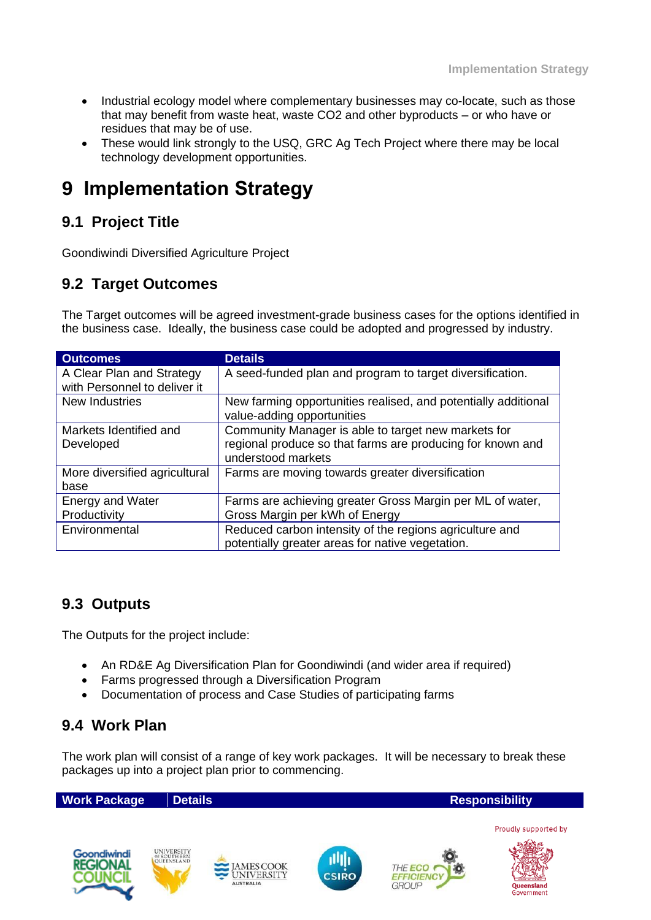- Industrial ecology model where complementary businesses may co-locate, such as those that may benefit from waste heat, waste CO2 and other byproducts – or who have or residues that may be of use.
- These would link strongly to the USQ, GRC Ag Tech Project where there may be local technology development opportunities.

# **9 Implementation Strategy**

### **9.1 Project Title**

Goondiwindi Diversified Agriculture Project

### **9.2 Target Outcomes**

The Target outcomes will be agreed investment-grade business cases for the options identified in the business case. Ideally, the business case could be adopted and progressed by industry.

| <b>Outcomes</b>               | <b>Details</b>                                                 |
|-------------------------------|----------------------------------------------------------------|
| A Clear Plan and Strategy     | A seed-funded plan and program to target diversification.      |
| with Personnel to deliver it  |                                                                |
| New Industries                | New farming opportunities realised, and potentially additional |
|                               | value-adding opportunities                                     |
| Markets Identified and        | Community Manager is able to target new markets for            |
| Developed                     | regional produce so that farms are producing for known and     |
|                               | understood markets                                             |
| More diversified agricultural | Farms are moving towards greater diversification               |
| base                          |                                                                |
| <b>Energy and Water</b>       | Farms are achieving greater Gross Margin per ML of water,      |
| Productivity                  | Gross Margin per kWh of Energy                                 |
| Environmental                 | Reduced carbon intensity of the regions agriculture and        |
|                               | potentially greater areas for native vegetation.               |

### **9.3 Outputs**

The Outputs for the project include:

- An RD&E Ag Diversification Plan for Goondiwindi (and wider area if required)
- Farms progressed through a Diversification Program
- Documentation of process and Case Studies of participating farms

### **9.4 Work Plan**

The work plan will consist of a range of key work packages. It will be necessary to break these packages up into a project plan prior to commencing.

**Work Package Details <b>Responsibility Responsibility** 













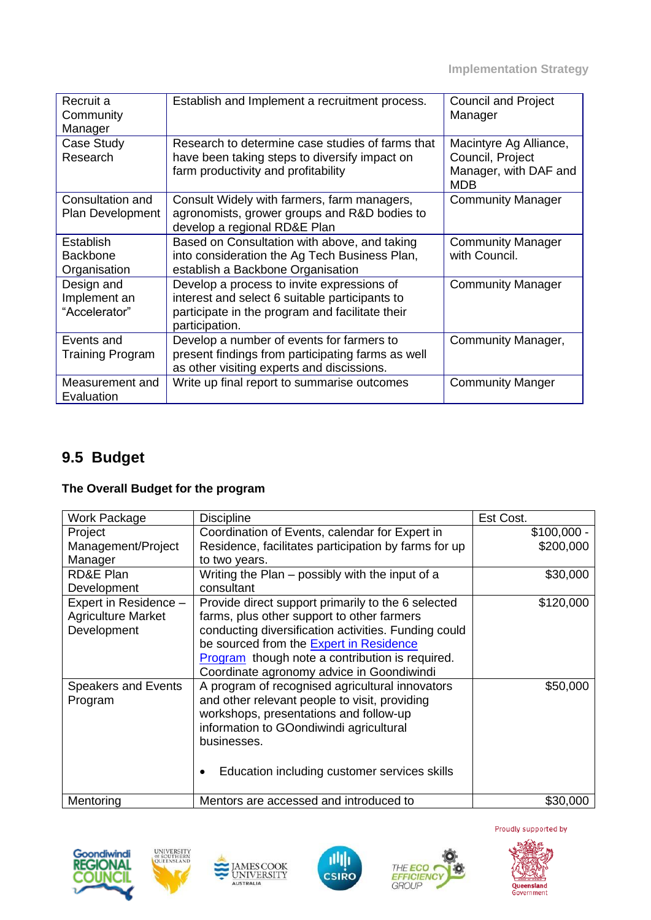| Recruit a<br>Community<br>Manager            | Establish and Implement a recruitment process.                                                                                                                    | <b>Council and Project</b><br>Manager                                             |
|----------------------------------------------|-------------------------------------------------------------------------------------------------------------------------------------------------------------------|-----------------------------------------------------------------------------------|
| Case Study<br>Research                       | Research to determine case studies of farms that<br>have been taking steps to diversify impact on<br>farm productivity and profitability                          | Macintyre Ag Alliance,<br>Council, Project<br>Manager, with DAF and<br><b>MDB</b> |
| Consultation and<br>Plan Development         | Consult Widely with farmers, farm managers,<br>agronomists, grower groups and R&D bodies to<br>develop a regional RD&E Plan                                       | <b>Community Manager</b>                                                          |
| Establish<br><b>Backbone</b><br>Organisation | Based on Consultation with above, and taking<br>into consideration the Ag Tech Business Plan,<br>establish a Backbone Organisation                                | <b>Community Manager</b><br>with Council.                                         |
| Design and<br>Implement an<br>"Accelerator"  | Develop a process to invite expressions of<br>interest and select 6 suitable participants to<br>participate in the program and facilitate their<br>participation. | <b>Community Manager</b>                                                          |
| Events and<br>Training Program               | Develop a number of events for farmers to<br>present findings from participating farms as well<br>as other visiting experts and discissions.                      | Community Manager,                                                                |
| Measurement and<br>Evaluation                | Write up final report to summarise outcomes                                                                                                                       | <b>Community Manger</b>                                                           |

# **9.5 Budget**

### **The Overall Budget for the program**

| Work Package               | <b>Discipline</b>                                      | Est Cost.    |
|----------------------------|--------------------------------------------------------|--------------|
| Project                    | Coordination of Events, calendar for Expert in         | $$100,000 -$ |
| Management/Project         | Residence, facilitates participation by farms for up   | \$200,000    |
| Manager                    | to two years.                                          |              |
| <b>RD&amp;E Plan</b>       | Writing the Plan – possibly with the input of a        | \$30,000     |
| Development                | consultant                                             |              |
| Expert in Residence -      | Provide direct support primarily to the 6 selected     | \$120,000    |
| <b>Agriculture Market</b>  | farms, plus other support to other farmers             |              |
| Development                | conducting diversification activities. Funding could   |              |
|                            | be sourced from the <b>Expert in Residence</b>         |              |
|                            | <b>Program</b> though note a contribution is required. |              |
|                            | Coordinate agronomy advice in Goondiwindi              |              |
| <b>Speakers and Events</b> | A program of recognised agricultural innovators        | \$50,000     |
| Program                    | and other relevant people to visit, providing          |              |
|                            | workshops, presentations and follow-up                 |              |
|                            | information to GOondiwindi agricultural                |              |
|                            | businesses.                                            |              |
|                            |                                                        |              |
|                            | Education including customer services skills           |              |
|                            |                                                        |              |
| Mentoring                  | Mentors are accessed and introduced to                 | \$30,000     |











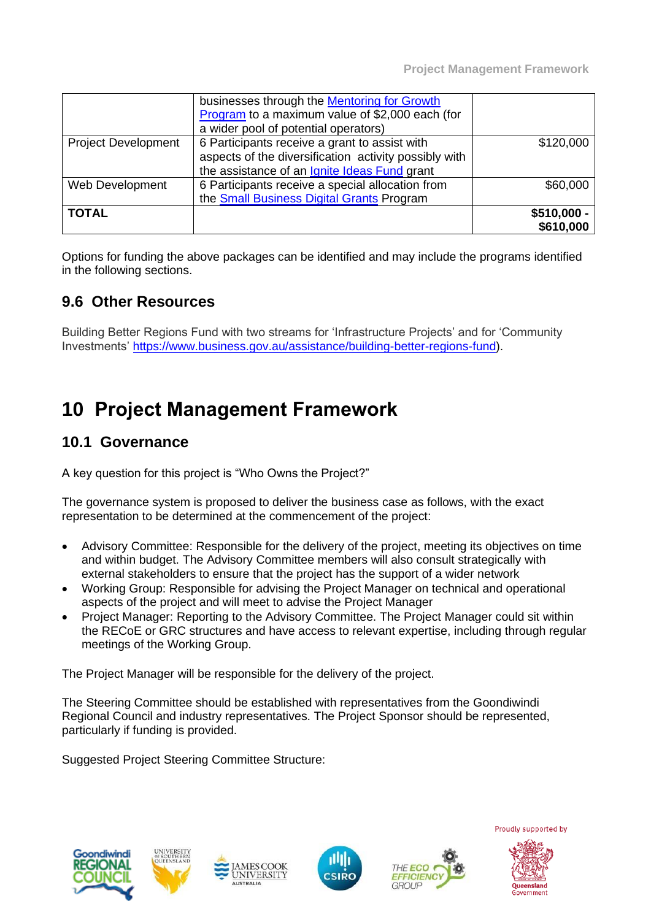|                            | businesses through the <b>Mentoring for Growth</b><br>Program to a maximum value of \$2,000 each (for<br>a wider pool of potential operators)          |                           |
|----------------------------|--------------------------------------------------------------------------------------------------------------------------------------------------------|---------------------------|
| <b>Project Development</b> | 6 Participants receive a grant to assist with<br>aspects of the diversification activity possibly with<br>the assistance of an Ignite Ideas Fund grant | \$120,000                 |
| Web Development            | 6 Participants receive a special allocation from<br>the <b>Small Business Digital Grants</b> Program                                                   | \$60,000                  |
| <b>TOTAL</b>               |                                                                                                                                                        | $$510,000 -$<br>\$610,000 |

Options for funding the above packages can be identified and may include the programs identified in the following sections.

### **9.6 Other Resources**

Building Better Regions Fund with two streams for 'Infrastructure Projects' and for 'Community Investments' [https://www.business.gov.au/assistance/building-better-regions-fund\)](https://www.business.gov.au/assistance/building-better-regions-fund).

# **10 Project Management Framework**

### **10.1 Governance**

A key question for this project is "Who Owns the Project?"

The governance system is proposed to deliver the business case as follows, with the exact representation to be determined at the commencement of the project:

- Advisory Committee: Responsible for the delivery of the project, meeting its objectives on time and within budget. The Advisory Committee members will also consult strategically with external stakeholders to ensure that the project has the support of a wider network
- Working Group: Responsible for advising the Project Manager on technical and operational aspects of the project and will meet to advise the Project Manager
- Project Manager: Reporting to the Advisory Committee. The Project Manager could sit within the RECoE or GRC structures and have access to relevant expertise, including through regular meetings of the Working Group.

The Project Manager will be responsible for the delivery of the project.

**UNIVERSITY** 

The Steering Committee should be established with representatives from the Goondiwindi Regional Council and industry representatives. The Project Sponsor should be represented, particularly if funding is provided.

Suggested Project Steering Committee Structure:









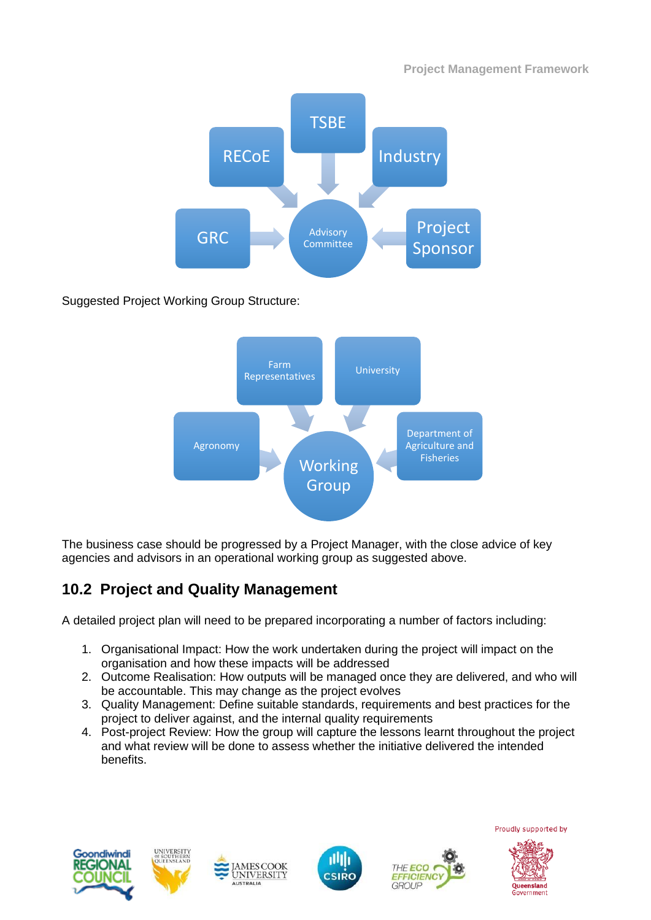

Suggested Project Working Group Structure:



The business case should be progressed by a Project Manager, with the close advice of key agencies and advisors in an operational working group as suggested above.

# **10.2 Project and Quality Management**

A detailed project plan will need to be prepared incorporating a number of factors including:

- 1. Organisational Impact: How the work undertaken during the project will impact on the organisation and how these impacts will be addressed
- 2. Outcome Realisation: How outputs will be managed once they are delivered, and who will be accountable. This may change as the project evolves
- 3. Quality Management: Define suitable standards, requirements and best practices for the project to deliver against, and the internal quality requirements
- 4. Post-project Review: How the group will capture the lessons learnt throughout the project and what review will be done to assess whether the initiative delivered the intended benefits.





**MESCOOK** 





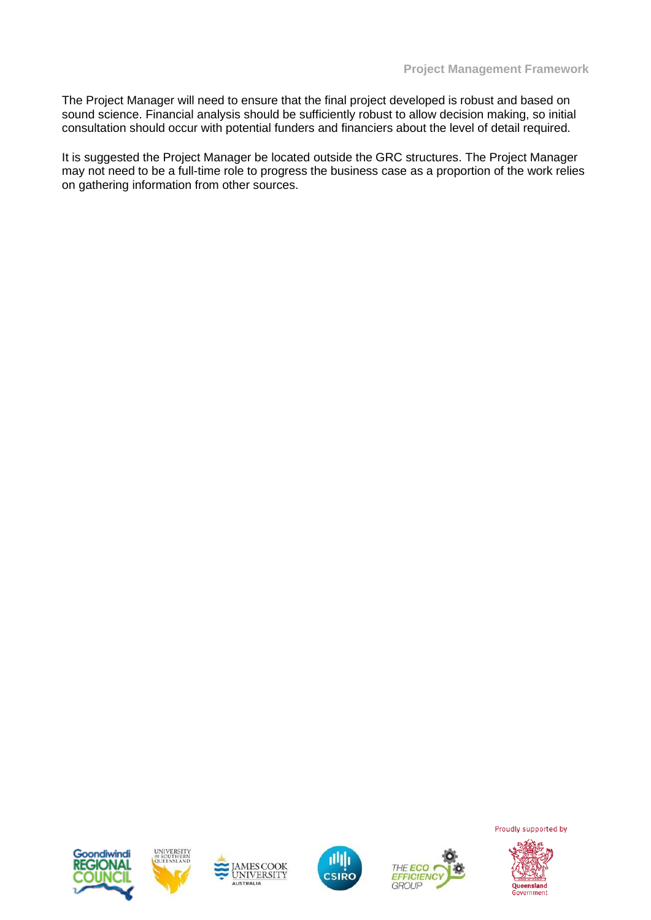The Project Manager will need to ensure that the final project developed is robust and based on sound science. Financial analysis should be sufficiently robust to allow decision making, so initial consultation should occur with potential funders and financiers about the level of detail required.

It is suggested the Project Manager be located outside the GRC structures. The Project Manager may not need to be a full-time role to progress the business case as a proportion of the work relies on gathering information from other sources.











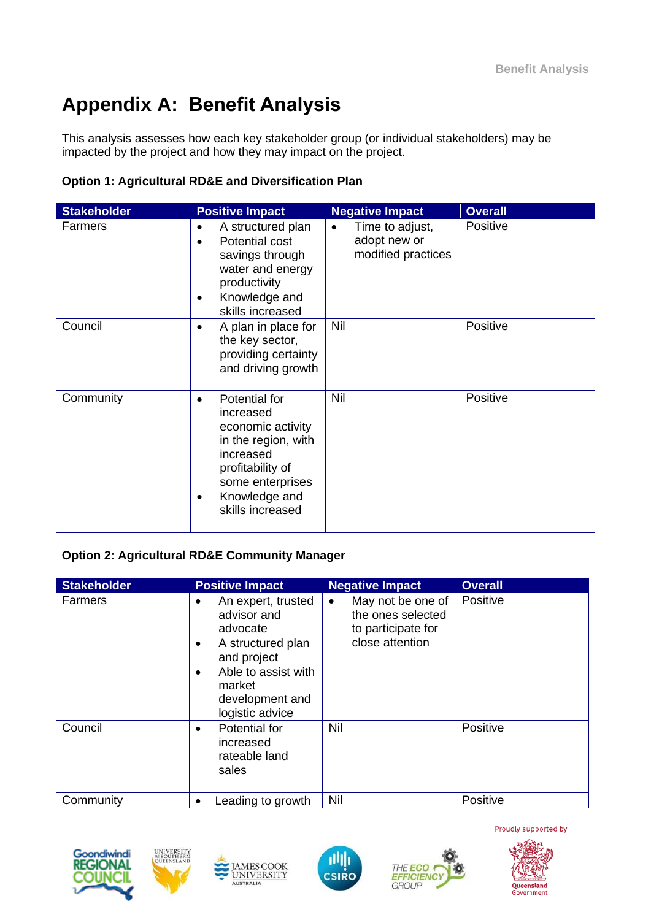# **Appendix A: Benefit Analysis**

This analysis assesses how each key stakeholder group (or individual stakeholders) may be impacted by the project and how they may impact on the project.

#### **Option 1: Agricultural RD&E and Diversification Plan**

| <b>Stakeholder</b> | <b>Positive Impact</b>                                                                                                                                                        | <b>Negative Impact</b>                                             | <b>Overall</b> |
|--------------------|-------------------------------------------------------------------------------------------------------------------------------------------------------------------------------|--------------------------------------------------------------------|----------------|
| Farmers            | A structured plan<br>$\bullet$<br>Potential cost<br>$\bullet$<br>savings through<br>water and energy<br>productivity<br>Knowledge and<br>$\bullet$<br>skills increased        | Time to adjust,<br>$\bullet$<br>adopt new or<br>modified practices | Positive       |
| Council            | A plan in place for<br>the key sector,<br>providing certainty<br>and driving growth                                                                                           | Nil                                                                | Positive       |
| Community          | Potential for<br>$\bullet$<br>increased<br>economic activity<br>in the region, with<br>increased<br>profitability of<br>some enterprises<br>Knowledge and<br>skills increased | Nil                                                                | Positive       |

#### **Option 2: Agricultural RD&E Community Manager**

| <b>Stakeholder</b> | <b>Positive Impact</b>                                                                                                                                   | <b>Negative Impact</b>                                                                       | <b>Overall</b> |
|--------------------|----------------------------------------------------------------------------------------------------------------------------------------------------------|----------------------------------------------------------------------------------------------|----------------|
| Farmers            | An expert, trusted<br>advisor and<br>advocate<br>A structured plan<br>and project<br>Able to assist with<br>market<br>development and<br>logistic advice | May not be one of<br>$\bullet$<br>the ones selected<br>to participate for<br>close attention | Positive       |
| Council            | Potential for<br>increased<br>rateable land<br>sales                                                                                                     | Nil                                                                                          | Positive       |
| Community          | Leading to growth                                                                                                                                        | Nil                                                                                          | Positive       |









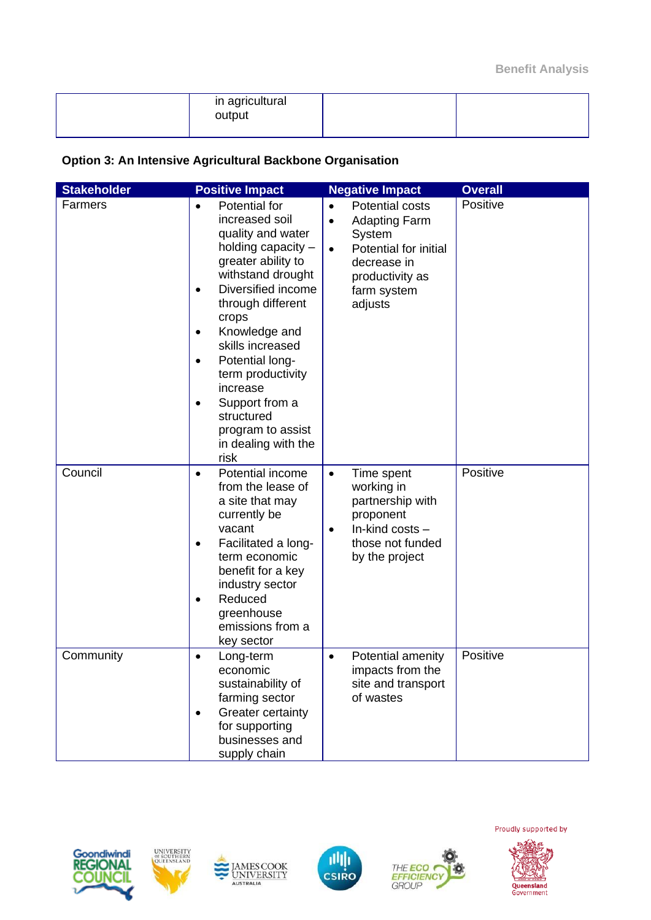| in agricultural<br>output |  |
|---------------------------|--|
|                           |  |

#### **Option 3: An Intensive Agricultural Backbone Organisation**

| <b>Stakeholder</b> | <b>Positive Impact</b>                                                                                                                                                                                                                                                                                                                                                                        | <b>Negative Impact</b>                                                                                                                                                        | <b>Overall</b> |
|--------------------|-----------------------------------------------------------------------------------------------------------------------------------------------------------------------------------------------------------------------------------------------------------------------------------------------------------------------------------------------------------------------------------------------|-------------------------------------------------------------------------------------------------------------------------------------------------------------------------------|----------------|
| Farmers            | Potential for<br>increased soil<br>quality and water<br>holding capacity -<br>greater ability to<br>withstand drought<br>Diversified income<br>$\bullet$<br>through different<br>crops<br>Knowledge and<br>$\bullet$<br>skills increased<br>Potential long-<br>$\bullet$<br>term productivity<br>increase<br>Support from a<br>structured<br>program to assist<br>in dealing with the<br>risk | Potential costs<br>$\bullet$<br><b>Adapting Farm</b><br>$\bullet$<br>System<br>Potential for initial<br>$\bullet$<br>decrease in<br>productivity as<br>farm system<br>adjusts | Positive       |
| Council            | Potential income<br>$\bullet$<br>from the lease of<br>a site that may<br>currently be<br>vacant<br>Facilitated a long-<br>$\bullet$<br>term economic<br>benefit for a key<br>industry sector<br>Reduced<br>greenhouse<br>emissions from a<br>key sector                                                                                                                                       | Time spent<br>$\bullet$<br>working in<br>partnership with<br>proponent<br>In-kind costs -<br>$\bullet$<br>those not funded<br>by the project                                  | Positive       |
| Community          | Long-term<br>$\bullet$<br>economic<br>sustainability of<br>farming sector<br>Greater certainty<br>$\bullet$<br>for supporting<br>businesses and<br>supply chain                                                                                                                                                                                                                               | Potential amenity<br>$\bullet$<br>impacts from the<br>site and transport<br>of wastes                                                                                         | Positive       |











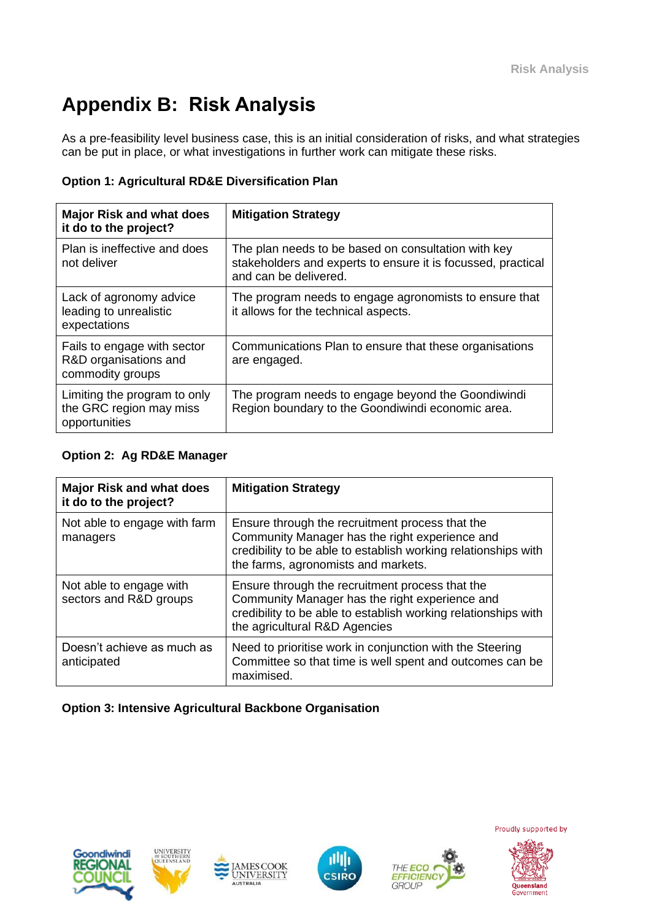# **Appendix B: Risk Analysis**

As a pre-feasibility level business case, this is an initial consideration of risks, and what strategies can be put in place, or what investigations in further work can mitigate these risks.

#### **Option 1: Agricultural RD&E Diversification Plan**

| <b>Major Risk and what does</b><br>it do to the project?                 | <b>Mitigation Strategy</b>                                                                                                                   |
|--------------------------------------------------------------------------|----------------------------------------------------------------------------------------------------------------------------------------------|
| Plan is ineffective and does<br>not deliver                              | The plan needs to be based on consultation with key<br>stakeholders and experts to ensure it is focussed, practical<br>and can be delivered. |
| Lack of agronomy advice<br>leading to unrealistic<br>expectations        | The program needs to engage agronomists to ensure that<br>it allows for the technical aspects.                                               |
| Fails to engage with sector<br>R&D organisations and<br>commodity groups | Communications Plan to ensure that these organisations<br>are engaged.                                                                       |
| Limiting the program to only<br>the GRC region may miss<br>opportunities | The program needs to engage beyond the Goondiwindi<br>Region boundary to the Goondiwindi economic area.                                      |

#### **Option 2: Ag RD&E Manager**

| <b>Major Risk and what does</b><br>it do to the project? | <b>Mitigation Strategy</b>                                                                                                                                                                                 |
|----------------------------------------------------------|------------------------------------------------------------------------------------------------------------------------------------------------------------------------------------------------------------|
| Not able to engage with farm<br>managers                 | Ensure through the recruitment process that the<br>Community Manager has the right experience and<br>credibility to be able to establish working relationships with<br>the farms, agronomists and markets. |
| Not able to engage with<br>sectors and R&D groups        | Ensure through the recruitment process that the<br>Community Manager has the right experience and<br>credibility to be able to establish working relationships with<br>the agricultural R&D Agencies       |
| Doesn't achieve as much as<br>anticipated                | Need to prioritise work in conjunction with the Steering<br>Committee so that time is well spent and outcomes can be<br>maximised.                                                                         |

#### **Option 3: Intensive Agricultural Backbone Organisation**











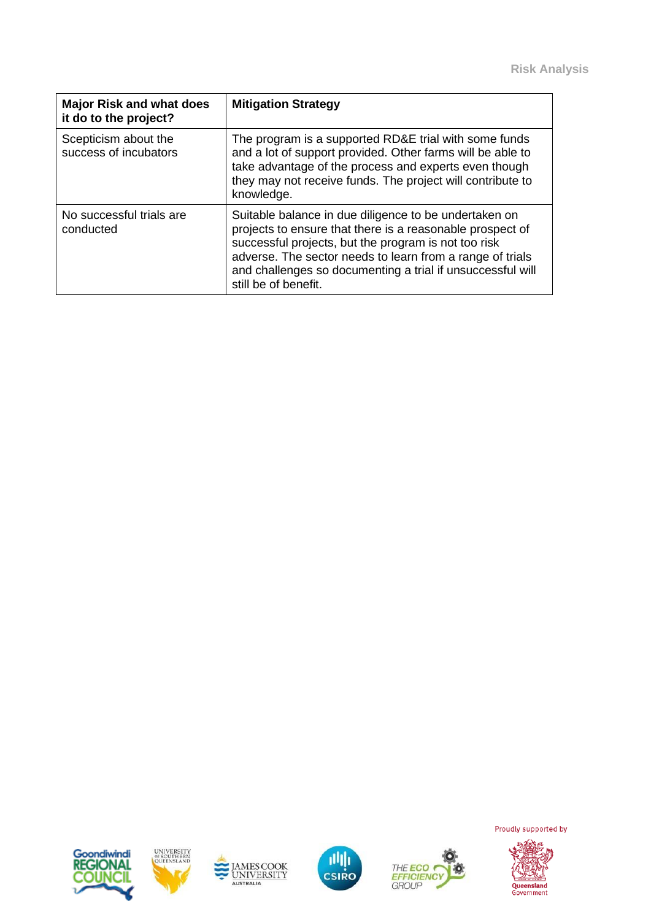| <b>Major Risk and what does</b><br>it do to the project? | <b>Mitigation Strategy</b>                                                                                                                                                                                                                                                                                                    |
|----------------------------------------------------------|-------------------------------------------------------------------------------------------------------------------------------------------------------------------------------------------------------------------------------------------------------------------------------------------------------------------------------|
| Scepticism about the<br>success of incubators            | The program is a supported RD&E trial with some funds<br>and a lot of support provided. Other farms will be able to<br>take advantage of the process and experts even though<br>they may not receive funds. The project will contribute to<br>knowledge.                                                                      |
| No successful trials are<br>conducted                    | Suitable balance in due diligence to be undertaken on<br>projects to ensure that there is a reasonable prospect of<br>successful projects, but the program is not too risk<br>adverse. The sector needs to learn from a range of trials<br>and challenges so documenting a trial if unsuccessful will<br>still be of benefit. |











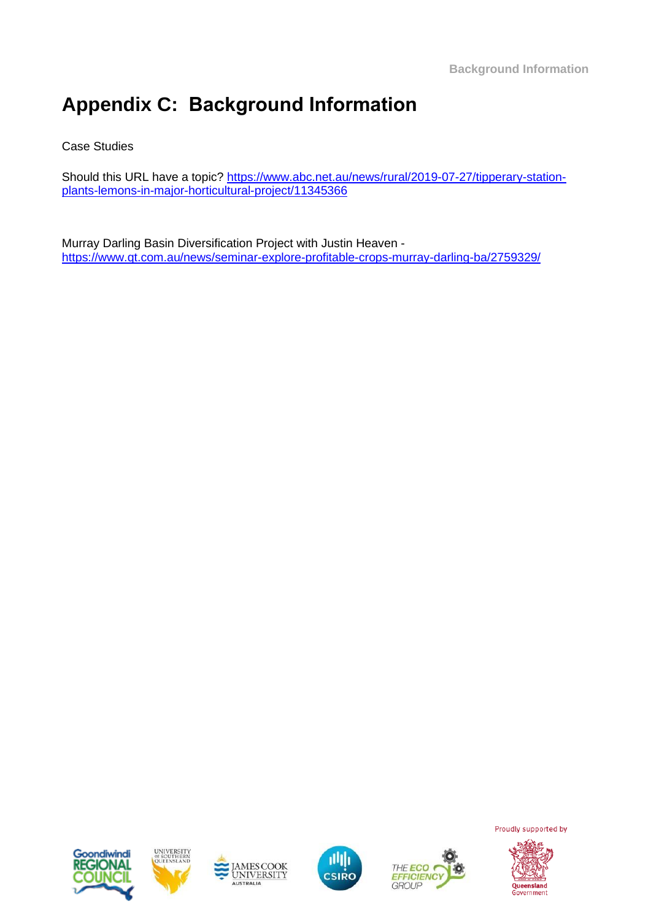# **Appendix C: Background Information**

#### Case Studies

Should this URL have a topic? [https://www.abc.net.au/news/rural/2019-07-27/tipperary-station](https://www.abc.net.au/news/rural/2019-07-27/tipperary-station-plants-lemons-in-major-horticultural-project/11345366)[plants-lemons-in-major-horticultural-project/11345366](https://www.abc.net.au/news/rural/2019-07-27/tipperary-station-plants-lemons-in-major-horticultural-project/11345366)

Murray Darling Basin Diversification Project with Justin Heaven <https://www.qt.com.au/news/seminar-explore-profitable-crops-murray-darling-ba/2759329/>











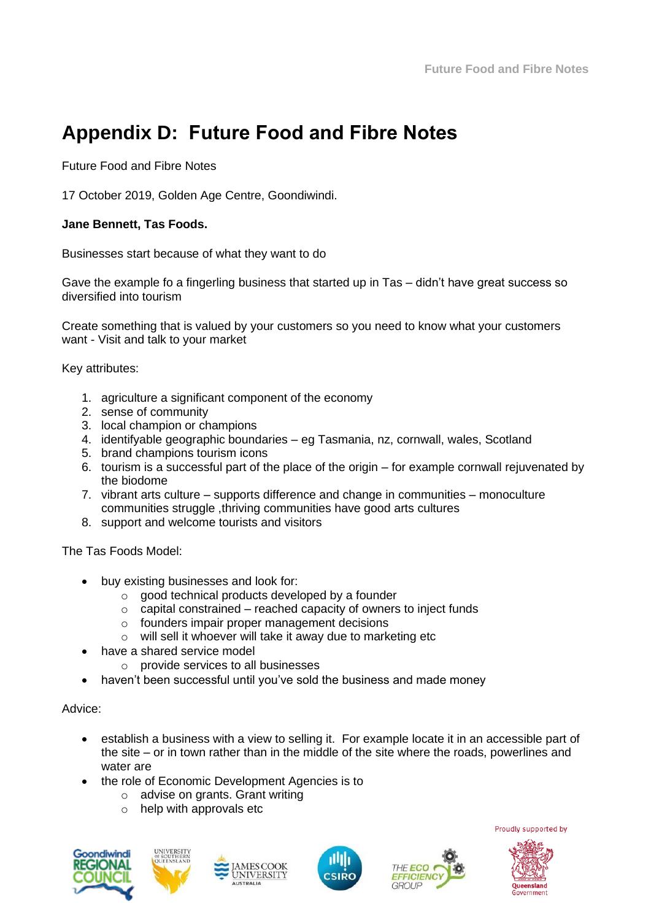# **Appendix D: Future Food and Fibre Notes**

Future Food and Fibre Notes

17 October 2019, Golden Age Centre, Goondiwindi.

#### **Jane Bennett, Tas Foods.**

Businesses start because of what they want to do

Gave the example fo a fingerling business that started up in Tas – didn't have great success so diversified into tourism

Create something that is valued by your customers so you need to know what your customers want - Visit and talk to your market

Key attributes:

- 1. agriculture a significant component of the economy
- 2. sense of community
- 3. local champion or champions
- 4. identifyable geographic boundaries eg Tasmania, nz, cornwall, wales, Scotland
- 5. brand champions tourism icons
- 6. tourism is a successful part of the place of the origin for example cornwall rejuvenated by the biodome
- 7. vibrant arts culture supports difference and change in communities monoculture communities struggle ,thriving communities have good arts cultures
- 8. support and welcome tourists and visitors

The Tas Foods Model:

- buy existing businesses and look for:
	- $\circ$  good technical products developed by a founder
	- $\circ$  capital constrained reached capacity of owners to inject funds
	- o founders impair proper management decisions
	- o will sell it whoever will take it away due to marketing etc
- have a shared service model
	- $\circ$  provide services to all businesses
- haven't been successful until you've sold the business and made money

#### Advice:

- establish a business with a view to selling it. For example locate it in an accessible part of the site – or in town rather than in the middle of the site where the roads, powerlines and water are
- the role of Economic Development Agencies is to
	- o advise on grants. Grant writing
	- o help with approvals etc











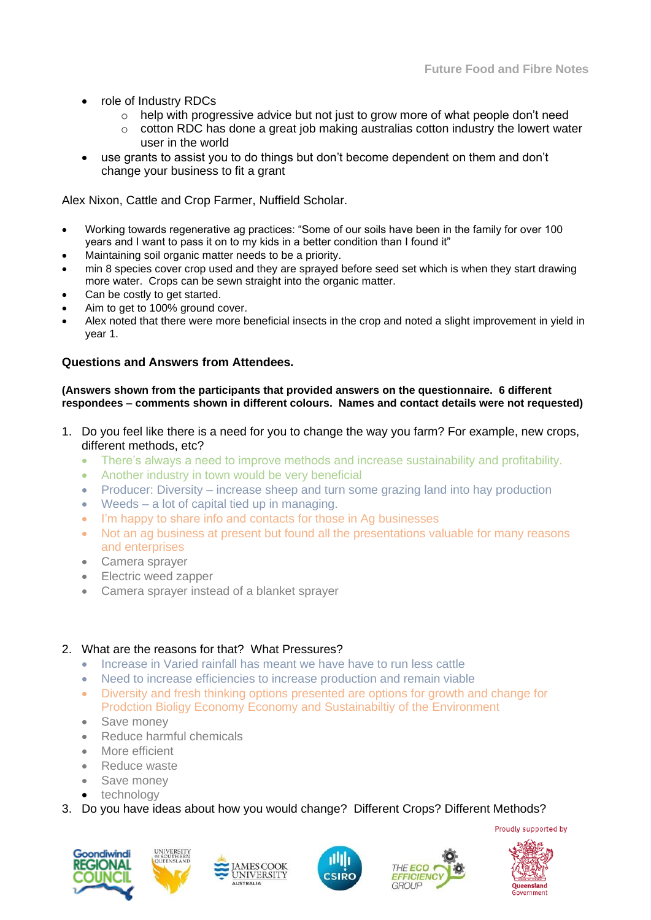- role of Industry RDCs
	- o help with progressive advice but not just to grow more of what people don't need
	- $\circ$  cotton RDC has done a great job making australias cotton industry the lowert water user in the world
- use grants to assist you to do things but don't become dependent on them and don't change your business to fit a grant

Alex Nixon, Cattle and Crop Farmer, Nuffield Scholar.

- Working towards regenerative ag practices: "Some of our soils have been in the family for over 100 years and I want to pass it on to my kids in a better condition than I found it"
- Maintaining soil organic matter needs to be a priority.
- min 8 species cover crop used and they are sprayed before seed set which is when they start drawing more water. Crops can be sewn straight into the organic matter.
- Can be costly to get started.
- Aim to get to 100% ground cover.
- Alex noted that there were more beneficial insects in the crop and noted a slight improvement in yield in year 1.

#### **Questions and Answers from Attendees.**

**(Answers shown from the participants that provided answers on the questionnaire. 6 different respondees – comments shown in different colours. Names and contact details were not requested)**

- 1. Do you feel like there is a need for you to change the way you farm? For example, new crops, different methods, etc?
	- There's always a need to improve methods and increase sustainability and profitability.
	- Another industry in town would be very beneficial
	- Producer: Diversity increase sheep and turn some grazing land into hay production
	- Weeds a lot of capital tied up in managing.
	- I'm happy to share info and contacts for those in Ag businesses
	- Not an ag business at present but found all the presentations valuable for many reasons and enterprises
	- Camera sprayer
	- Electric weed zapper
	- Camera sprayer instead of a blanket sprayer

#### 2. What are the reasons for that? What Pressures?

- Increase in Varied rainfall has meant we have have to run less cattle
- Need to increase efficiencies to increase production and remain viable
- Diversity and fresh thinking options presented are options for growth and change for Prodction Bioligy Economy Economy and Sustainabiltiy of the Environment
- Save money
- Reduce harmful chemicals
- More efficient
- Reduce waste
- Save money
- technology
- 3. Do you have ideas about how you would change? Different Crops? Different Methods?